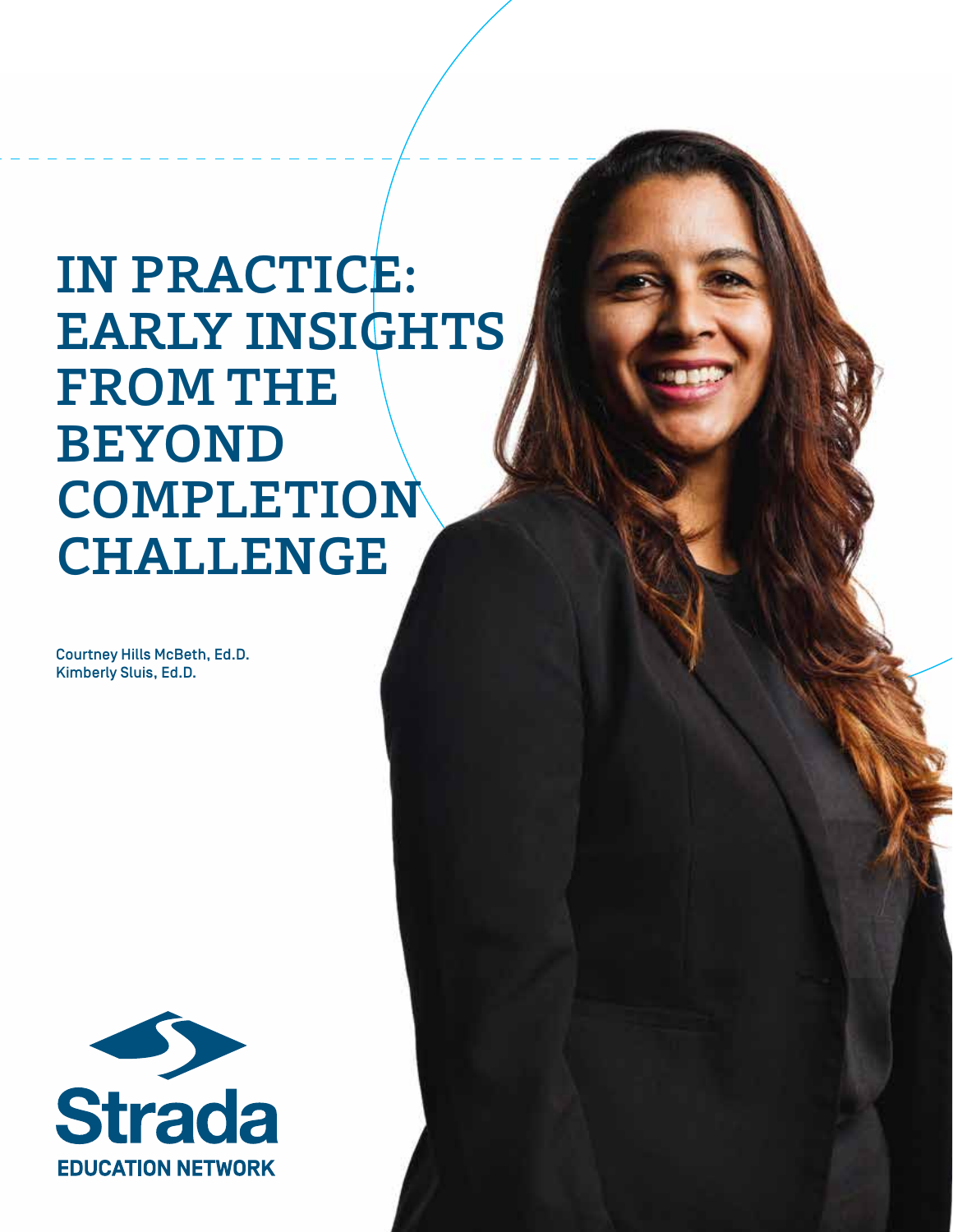## IN PRACTICE: EARLY INSIGHTS FROM THE BEYOND COMPLETION CHALLENGE

Courtney Hills McBeth, Ed.D. Kimberly Sluis, Ed.D.

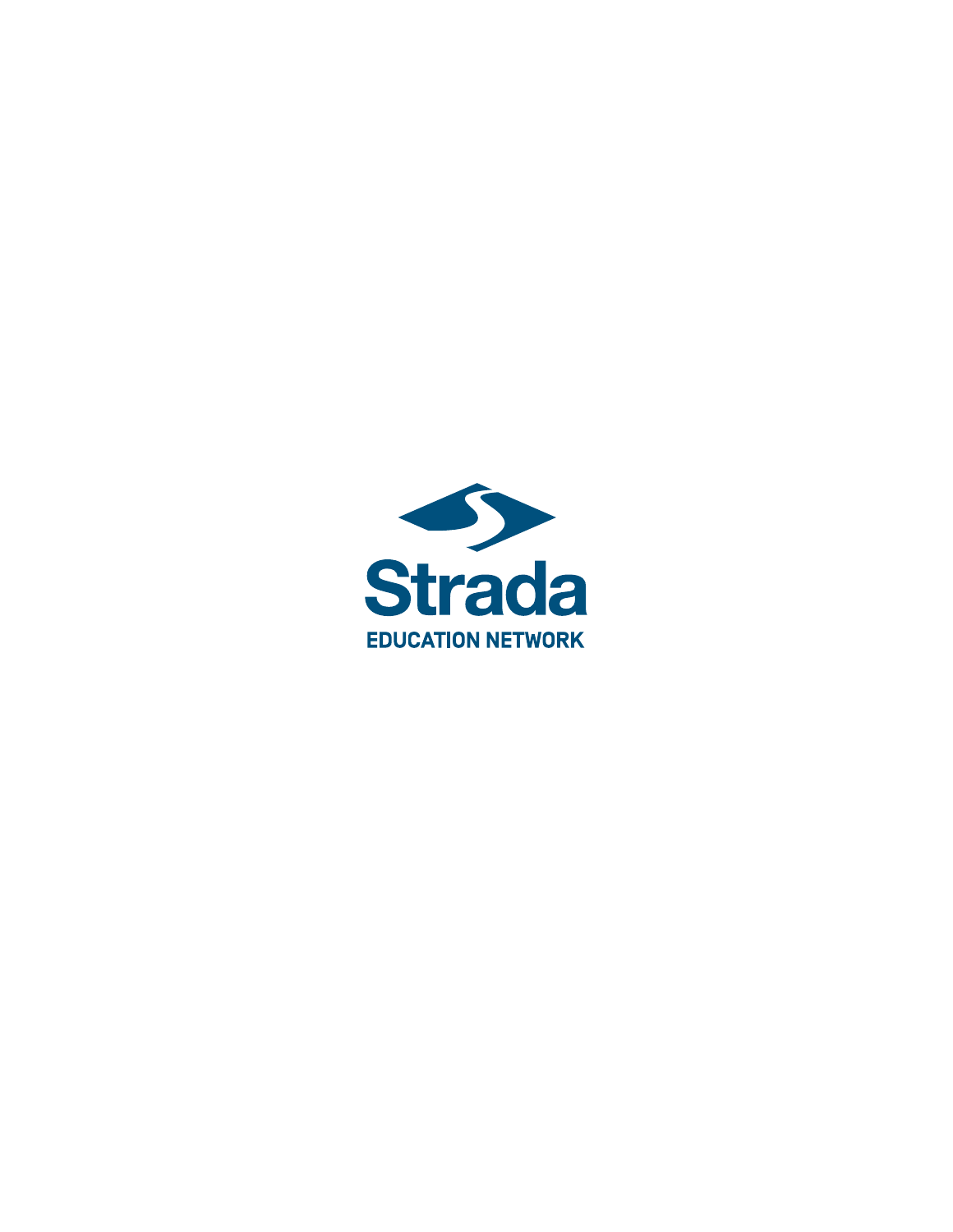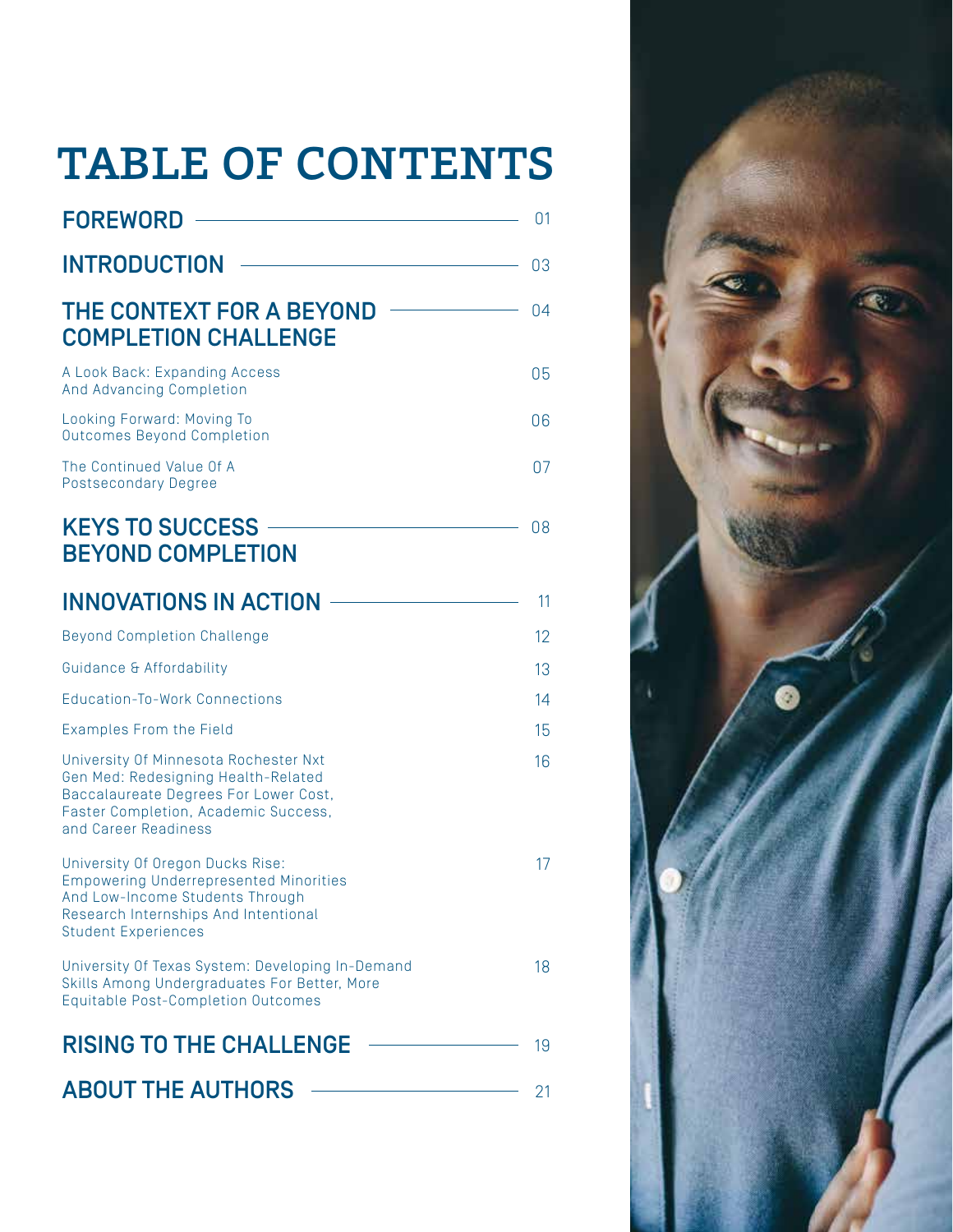## TABLE OF CONTENTS

| <b>FOREWORD</b>                                                                                                                                                                            | 01 |
|--------------------------------------------------------------------------------------------------------------------------------------------------------------------------------------------|----|
| <b>INTRODUCTION</b>                                                                                                                                                                        | 03 |
| THE CONTEXT FOR A BEYOND<br><b>COMPLETION CHALLENGE</b>                                                                                                                                    | 04 |
| A Look Back: Expanding Access<br>And Advancing Completion                                                                                                                                  | 05 |
| Looking Forward: Moving To<br>Outcomes Beyond Completion                                                                                                                                   | 06 |
| The Continued Value Of A<br><b>Postsecondary Degree</b>                                                                                                                                    | 07 |
| <b>KEYS TO SUCCESS</b><br><b>BEYOND COMPLETION</b>                                                                                                                                         | 08 |
| <b>INNOVATIONS IN ACTION</b>                                                                                                                                                               | 11 |
| <b>Beyond Completion Challenge</b>                                                                                                                                                         | 12 |
| Guidance & Affordability                                                                                                                                                                   | 13 |
| <b>Education-To-Work Connections</b>                                                                                                                                                       | 14 |
| <b>Examples From the Field</b>                                                                                                                                                             | 15 |
| University Of Minnesota Rochester Nxt<br>Gen Med: Redesigning Health-Related<br>Baccalaureate Degrees For Lower Cost,<br>Faster Completion, Academic Success,<br>and Career Readiness      | 16 |
| University Of Oregon Ducks Rise:<br><b>Empowering Underrepresented Minorities</b><br>And Low-Income Students Through<br>Research Internships And Intentional<br><b>Student Experiences</b> | 17 |
| University Of Texas System: Developing In-Demand<br>Skills Among Undergraduates For Better, More<br><b>Equitable Post-Completion Outcomes</b>                                              | 18 |
| <b>RISING TO THE CHALLENGE</b>                                                                                                                                                             | 19 |
| <b>ABOUT THE AUTHORS</b>                                                                                                                                                                   | 21 |

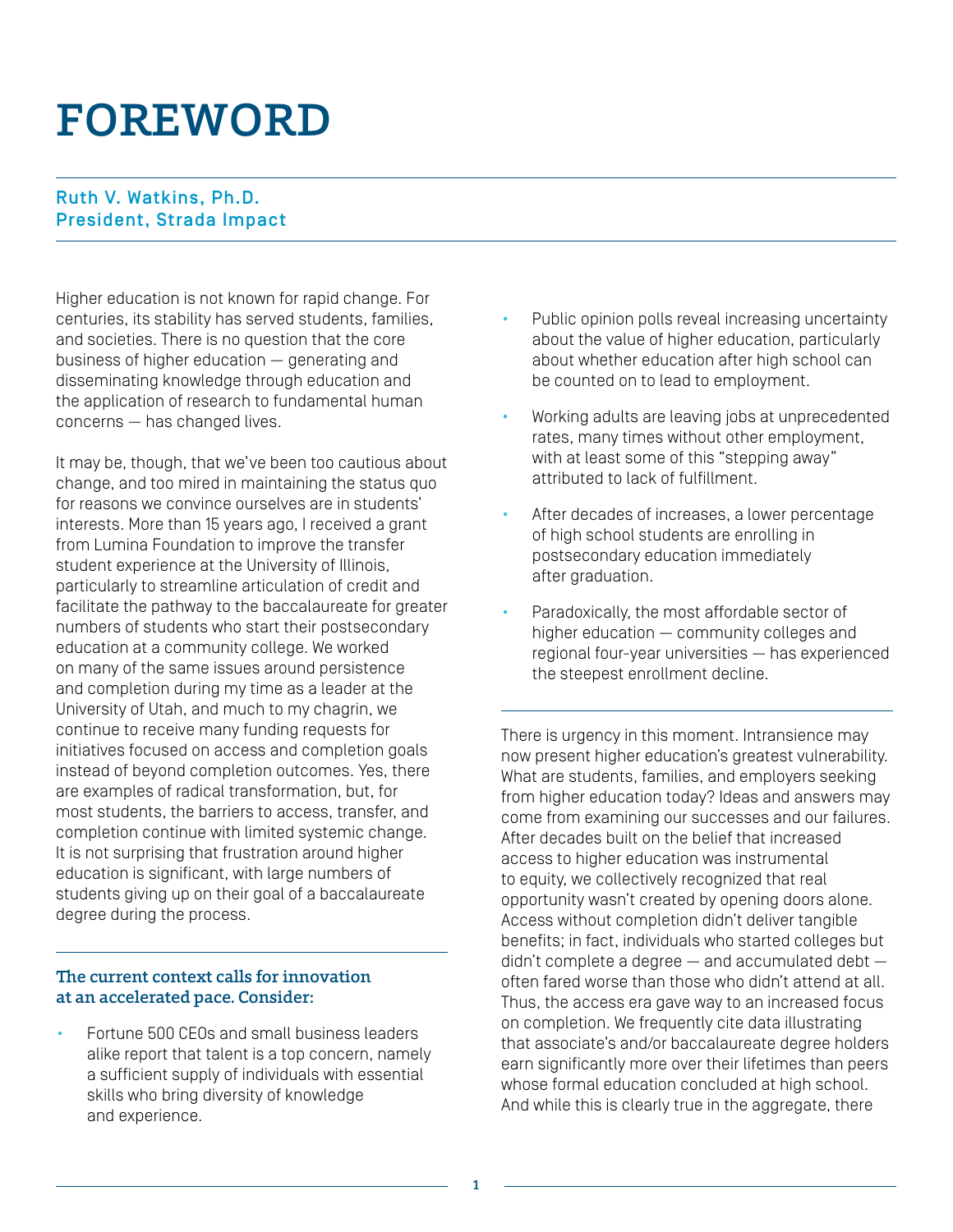## FOREWORD

### Ruth V. Watkins, Ph.D. President, Strada Impact

Higher education is not known for rapid change. For centuries, its stability has served students, families, and societies. There is no question that the core business of higher education — generating and disseminating knowledge through education and the application of research to fundamental human concerns — has changed lives.

It may be, though, that we've been too cautious about change, and too mired in maintaining the status quo for reasons we convince ourselves are in students' interests. More than 15 years ago, I received a grant from Lumina Foundation to improve the transfer student experience at the University of Illinois, particularly to streamline articulation of credit and facilitate the pathway to the baccalaureate for greater numbers of students who start their postsecondary education at a community college. We worked on many of the same issues around persistence and completion during my time as a leader at the University of Utah, and much to my chagrin, we continue to receive many funding requests for initiatives focused on access and completion goals instead of beyond completion outcomes. Yes, there are examples of radical transformation, but, for most students, the barriers to access, transfer, and completion continue with limited systemic change. It is not surprising that frustration around higher education is significant, with large numbers of students giving up on their goal of a baccalaureate degree during the process.

#### The current context calls for innovation at an accelerated pace. Consider:

• Fortune 500 CEOs and small business leaders alike report that talent is a top concern, namely a sufficient supply of individuals with essential skills who bring diversity of knowledge and experience.

- Public opinion polls reveal increasing uncertainty about the value of higher education, particularly about whether education after high school can be counted on to lead to employment.
- Working adults are leaving jobs at unprecedented rates, many times without other employment, with at least some of this "stepping away" attributed to lack of fulfillment.
- After decades of increases, a lower percentage of high school students are enrolling in postsecondary education immediately after graduation.
- Paradoxically, the most affordable sector of higher education — community colleges and regional four-year universities — has experienced the steepest enrollment decline.

There is urgency in this moment. Intransience may now present higher education's greatest vulnerability. What are students, families, and employers seeking from higher education today? Ideas and answers may come from examining our successes and our failures. After decades built on the belief that increased access to higher education was instrumental to equity, we collectively recognized that real opportunity wasn't created by opening doors alone. Access without completion didn't deliver tangible benefits; in fact, individuals who started colleges but didn't complete a degree — and accumulated debt often fared worse than those who didn't attend at all. Thus, the access era gave way to an increased focus on completion. We frequently cite data illustrating that associate's and/or baccalaureate degree holders earn significantly more over their lifetimes than peers whose formal education concluded at high school. And while this is clearly true in the aggregate, there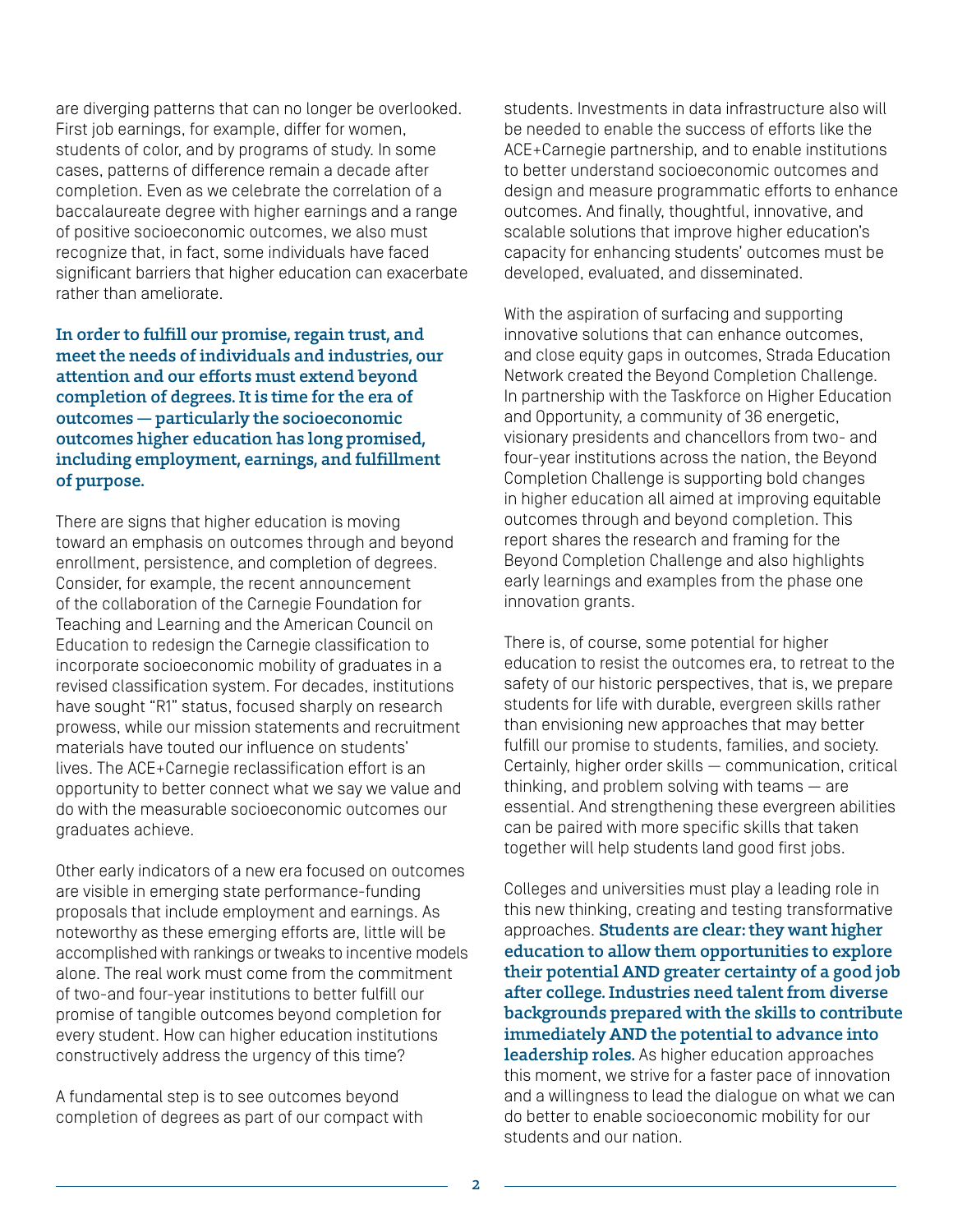are diverging patterns that can no longer be overlooked. First job earnings, for example, differ for women, students of color, and by programs of study. In some cases, patterns of difference remain a decade after completion. Even as we celebrate the correlation of a baccalaureate degree with higher earnings and a range of positive socioeconomic outcomes, we also must recognize that, in fact, some individuals have faced significant barriers that higher education can exacerbate rather than ameliorate.

In order to fulfill our promise, regain trust, and meet the needs of individuals and industries, our attention and our efforts must extend beyond completion of degrees. It is time for the era of outcomes — particularly the socioeconomic outcomes higher education has long promised, including employment, earnings, and fulfillment of purpose.

There are signs that higher education is moving toward an emphasis on outcomes through and beyond enrollment, persistence, and completion of degrees. Consider, for example, the recent announcement of the collaboration of the Carnegie Foundation for Teaching and Learning and the American Council on Education to redesign the Carnegie classification to incorporate socioeconomic mobility of graduates in a revised classification system. For decades, institutions have sought "R1" status, focused sharply on research prowess, while our mission statements and recruitment materials have touted our influence on students' lives. The ACE+Carnegie reclassification effort is an opportunity to better connect what we say we value and do with the measurable socioeconomic outcomes our graduates achieve.

Other early indicators of a new era focused on outcomes are visible in emerging state performance-funding proposals that include employment and earnings. As noteworthy as these emerging efforts are, little will be accomplished with rankings or tweaks to incentive models alone. The real work must come from the commitment of two-and four-year institutions to better fulfill our promise of tangible outcomes beyond completion for every student. How can higher education institutions constructively address the urgency of this time?

A fundamental step is to see outcomes beyond completion of degrees as part of our compact with

students. Investments in data infrastructure also will be needed to enable the success of efforts like the ACE+Carnegie partnership, and to enable institutions to better understand socioeconomic outcomes and design and measure programmatic efforts to enhance outcomes. And finally, thoughtful, innovative, and scalable solutions that improve higher education's capacity for enhancing students' outcomes must be developed, evaluated, and disseminated.

With the aspiration of surfacing and supporting innovative solutions that can enhance outcomes, and close equity gaps in outcomes, Strada Education Network created the Beyond Completion Challenge. In partnership with the Taskforce on Higher Education and Opportunity, a community of 36 energetic, visionary presidents and chancellors from two- and four-year institutions across the nation, the Beyond Completion Challenge is supporting bold changes in higher education all aimed at improving equitable outcomes through and beyond completion. This report shares the research and framing for the Beyond Completion Challenge and also highlights early learnings and examples from the phase one innovation grants.

There is, of course, some potential for higher education to resist the outcomes era, to retreat to the safety of our historic perspectives, that is, we prepare students for life with durable, evergreen skills rather than envisioning new approaches that may better fulfill our promise to students, families, and society. Certainly, higher order skills — communication, critical thinking, and problem solving with teams — are essential. And strengthening these evergreen abilities can be paired with more specific skills that taken together will help students land good first jobs.

Colleges and universities must play a leading role in this new thinking, creating and testing transformative approaches. Students are clear: they want higher education to allow them opportunities to explore their potential AND greater certainty of a good job after college. Industries need talent from diverse backgrounds prepared with the skills to contribute immediately AND the potential to advance into leadership roles. As higher education approaches this moment, we strive for a faster pace of innovation and a willingness to lead the dialogue on what we can do better to enable socioeconomic mobility for our students and our nation.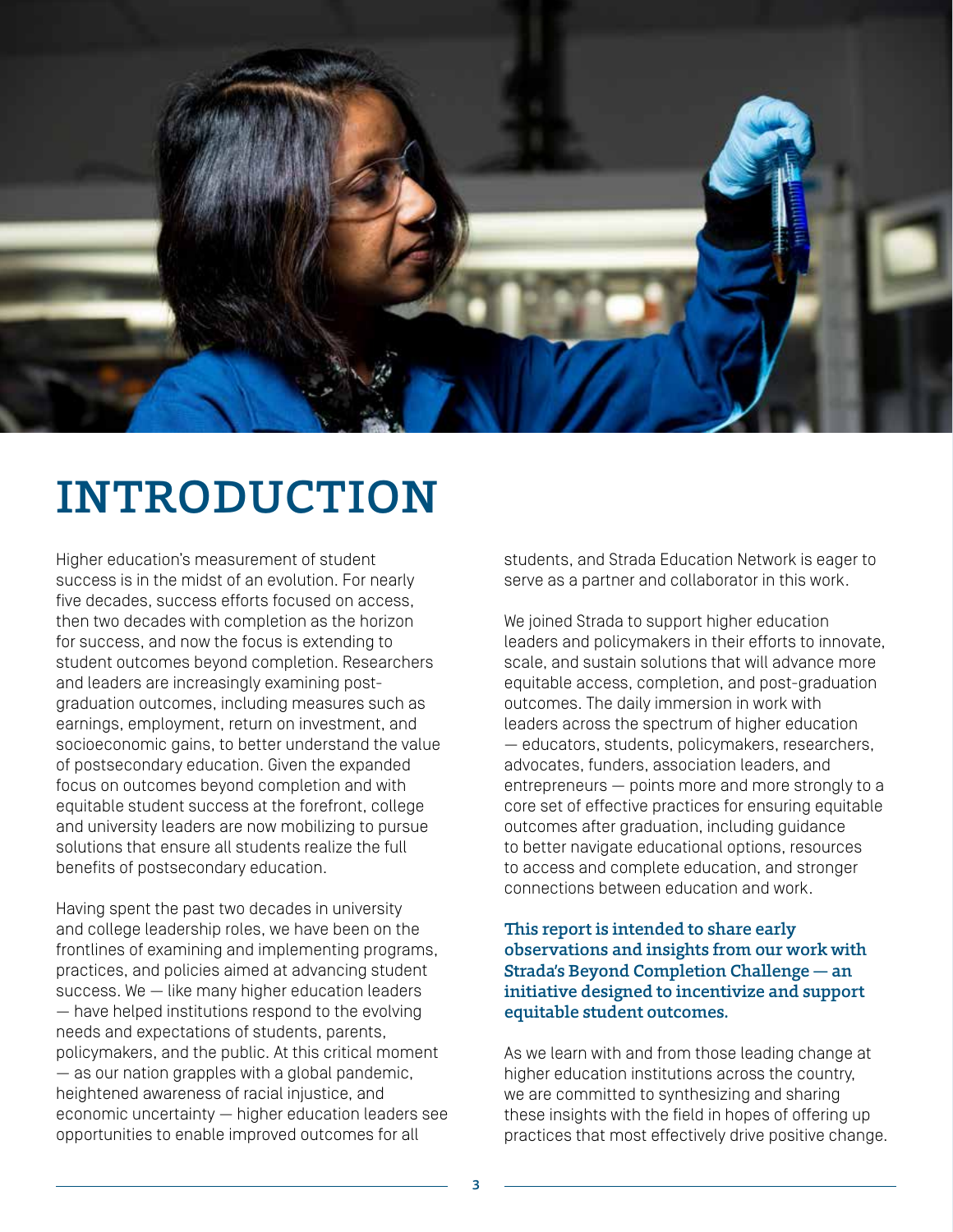

## INTRODUCTION

Higher education's measurement of student success is in the midst of an evolution. For nearly five decades, success efforts focused on access, then two decades with completion as the horizon for success, and now the focus is extending to student outcomes beyond completion. Researchers and leaders are increasingly examining postgraduation outcomes, including measures such as earnings, employment, return on investment, and socioeconomic gains, to better understand the value of postsecondary education. Given the expanded focus on outcomes beyond completion and with equitable student success at the forefront, college and university leaders are now mobilizing to pursue solutions that ensure all students realize the full benefits of postsecondary education.

Having spent the past two decades in university and college leadership roles, we have been on the frontlines of examining and implementing programs, practices, and policies aimed at advancing student success. We — like many higher education leaders — have helped institutions respond to the evolving needs and expectations of students, parents, policymakers, and the public. At this critical moment — as our nation grapples with a global pandemic, heightened awareness of racial injustice, and economic uncertainty — higher education leaders see opportunities to enable improved outcomes for all

students, and Strada Education Network is eager to serve as a partner and collaborator in this work.

We joined Strada to support higher education leaders and policymakers in their efforts to innovate, scale, and sustain solutions that will advance more equitable access, completion, and post-graduation outcomes. The daily immersion in work with leaders across the spectrum of higher education — educators, students, policymakers, researchers, advocates, funders, association leaders, and entrepreneurs — points more and more strongly to a core set of effective practices for ensuring equitable outcomes after graduation, including guidance to better navigate educational options, resources to access and complete education, and stronger connections between education and work.

#### This report is intended to share early observations and insights from our work with Strada's Beyond Completion Challenge — an initiative designed to incentivize and support equitable student outcomes.

As we learn with and from those leading change at higher education institutions across the country, we are committed to synthesizing and sharing these insights with the field in hopes of offering up practices that most effectively drive positive change.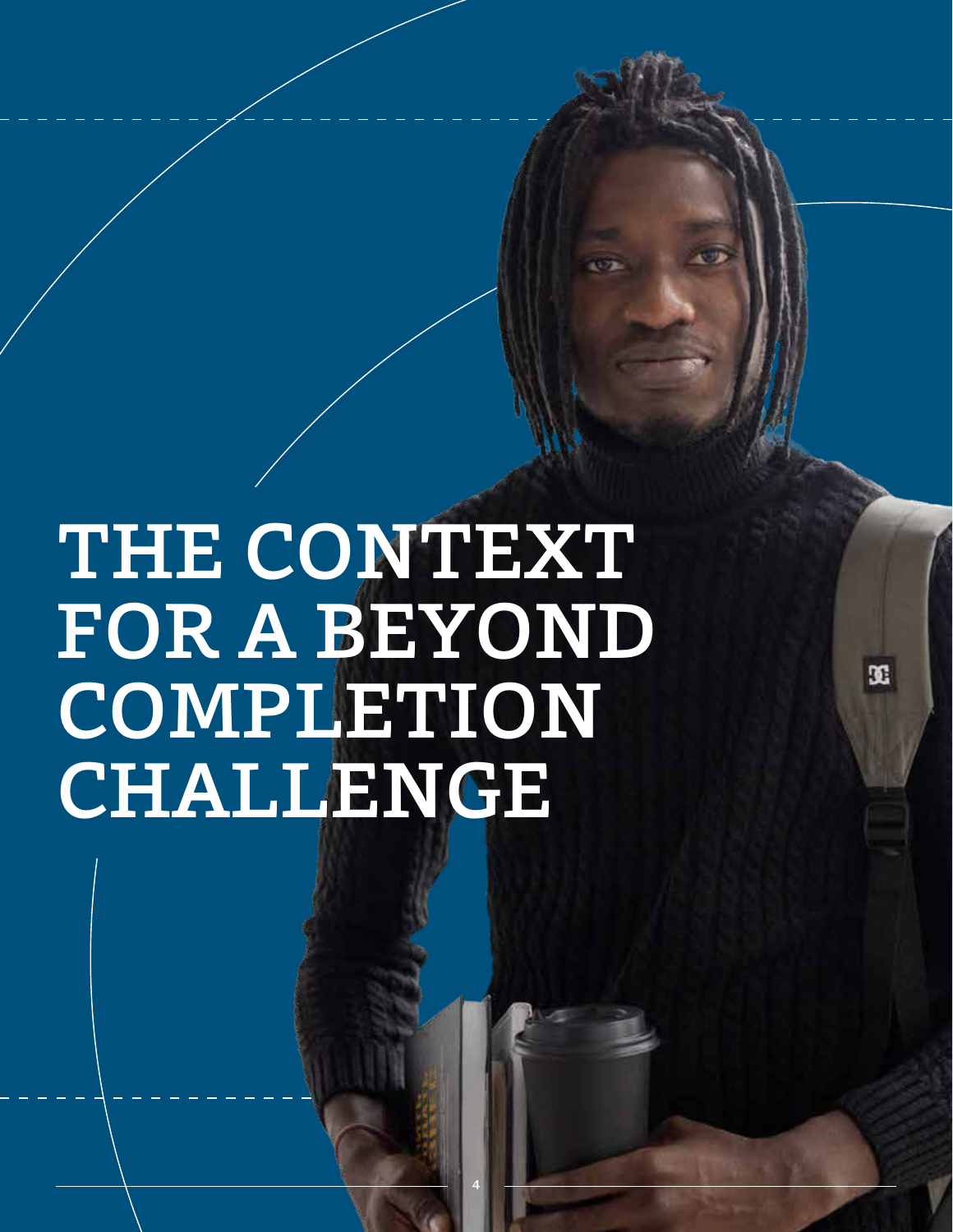# THE CONTEXT FOR A BEYOND **COMPLETION** CHALLENGE

4

 $\mathfrak{A}$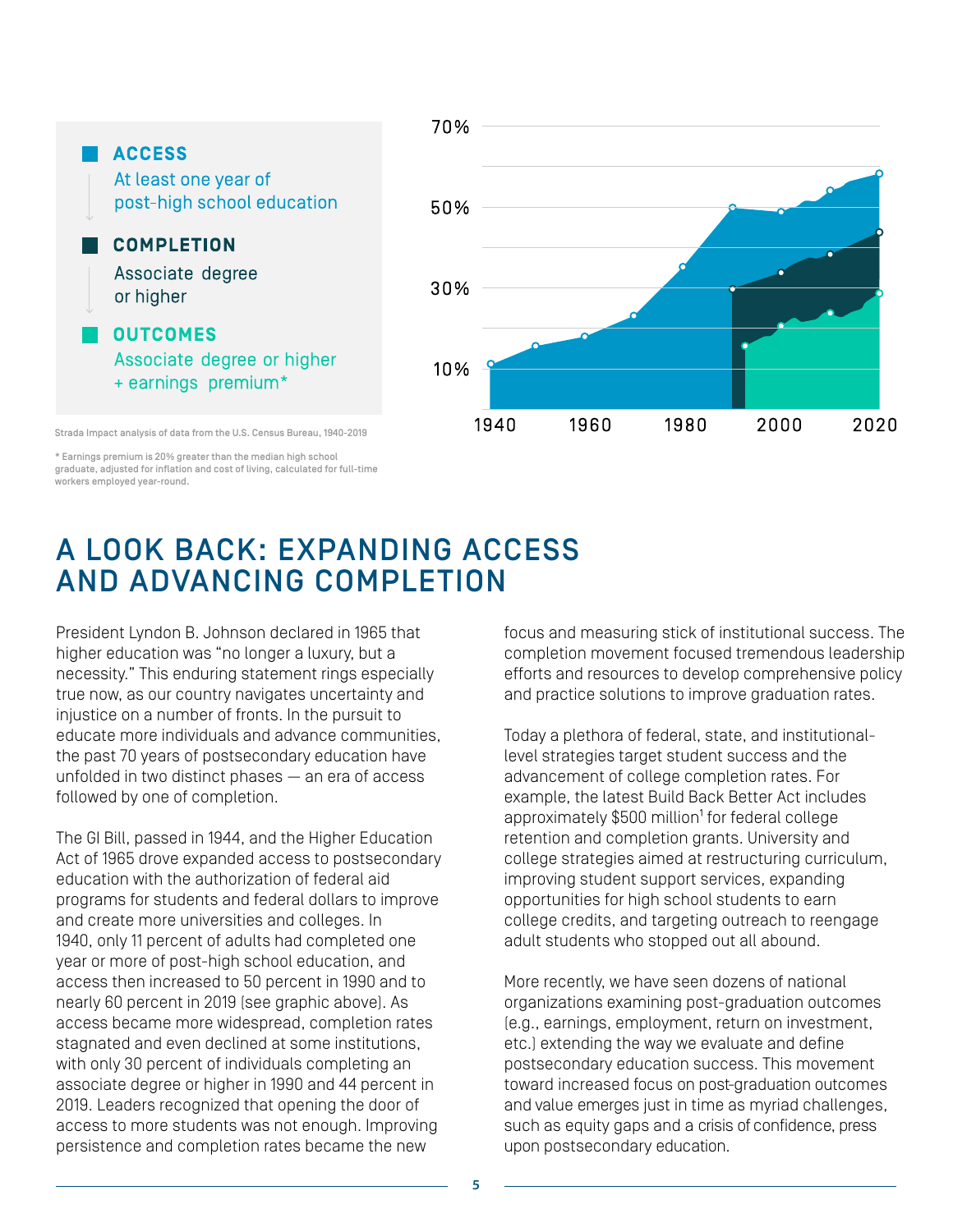

\* Earnings premium is 20% greater than the median high school graduate, adjusted for inflation and cost of living, calculated for full-time workers employed year-round.

### A LOOK BACK: EXPANDING ACCESS AND ADVANCING COMPLETION

President Lyndon B. Johnson declared in 1965 that higher education was "no longer a luxury, but a necessity." This enduring statement rings especially true now, as our country navigates uncertainty and injustice on a number of fronts. In the pursuit to educate more individuals and advance communities, the past 70 years of postsecondary education have unfolded in two distinct phases — an era of access followed by one of completion.

The GI Bill, passed in 1944, and the Higher Education Act of 1965 drove expanded access to postsecondary education with the authorization of federal aid programs for students and federal dollars to improve and create more universities and colleges. In 1940, only 11 percent of adults had completed one year or more of post-high school education, and access then increased to 50 percent in 1990 and to nearly 60 percent in 2019 (see graphic above). As access became more widespread, completion rates stagnated and even declined at some institutions, with only 30 percent of individuals completing an associate degree or higher in 1990 and 44 percent in 2019. Leaders recognized that opening the door of access to more students was not enough. Improving persistence and completion rates became the new

focus and measuring stick of institutional success. The completion movement focused tremendous leadership efforts and resources to develop comprehensive policy and practice solutions to improve graduation rates.

Today a plethora of federal, state, and institutionallevel strategies target student success and the advancement of college completion rates. For example, the latest Build Back Better Act includes approximately \$500 million<sup>1</sup> for federal college retention and completion grants. University and college strategies aimed at restructuring curriculum, improving student support services, expanding opportunities for high school students to earn college credits, and targeting outreach to reengage adult students who stopped out all abound.

More recently, we have seen dozens of national organizations examining post-graduation outcomes (e.g., earnings, employment, return on investment, etc.) extending the way we evaluate and define postsecondary education success. This movement toward increased focus on post-graduation outcomes and value emerges just in time as myriad challenges, such as equity gaps and a crisis of confidence, press upon postsecondary education.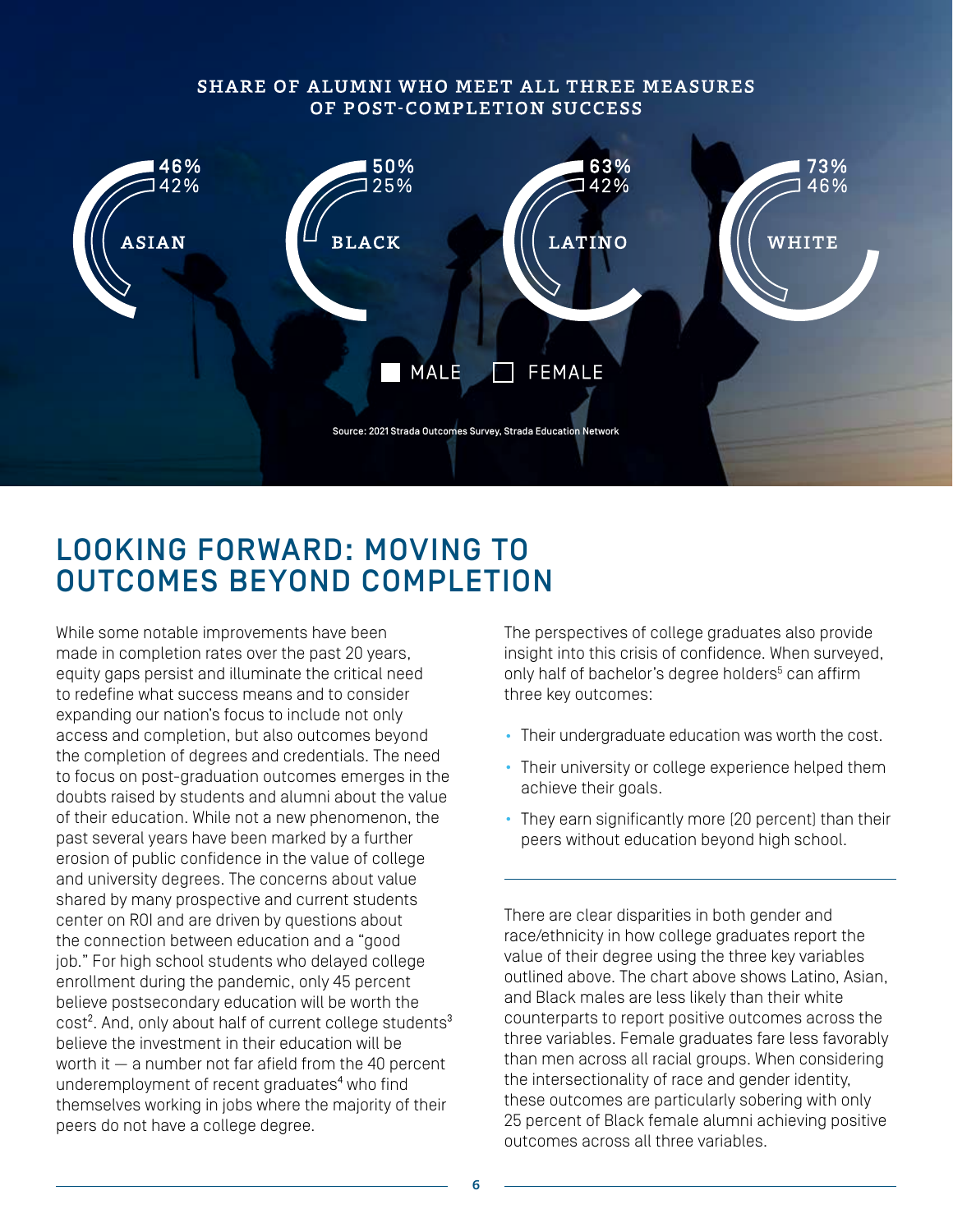#### SHARE OF ALUMNI WHO MEET ALL THREE MEASURES OF POST-COMPLETION SUCCESS



### LOOKING FORWARD: MOVING TO OUTCOMES BEYOND COMPLETION

While some notable improvements have been made in completion rates over the past 20 years, equity gaps persist and illuminate the critical need to redefine what success means and to consider expanding our nation's focus to include not only access and completion, but also outcomes beyond the completion of degrees and credentials. The need to focus on post-graduation outcomes emerges in the doubts raised by students and alumni about the value of their education. While not a new phenomenon, the past several years have been marked by a further erosion of public confidence in the value of college and university degrees. The concerns about value shared by many prospective and current students center on ROI and are driven by questions about the connection between education and a "good job." For high school students who delayed college enrollment during the pandemic, only 45 percent believe postsecondary education will be worth the cost<sup>2</sup>. And, only about half of current college students<sup>3</sup> believe the investment in their education will be worth it — a number not far afield from the 40 percent underemployment of recent graduates<sup>4</sup> who find themselves working in jobs where the majority of their peers do not have a college degree.

The perspectives of college graduates also provide insight into this crisis of confidence. When surveyed, only half of bachelor's degree holders<sup>5</sup> can affirm three key outcomes:

- Their undergraduate education was worth the cost.
- Their university or college experience helped them achieve their goals.
- They earn significantly more (20 percent) than their peers without education beyond high school.

There are clear disparities in both gender and race/ethnicity in how college graduates report the value of their degree using the three key variables outlined above. The chart above shows Latino, Asian, and Black males are less likely than their white counterparts to report positive outcomes across the three variables. Female graduates fare less favorably than men across all racial groups. When considering the intersectionality of race and gender identity, these outcomes are particularly sobering with only 25 percent of Black female alumni achieving positive outcomes across all three variables.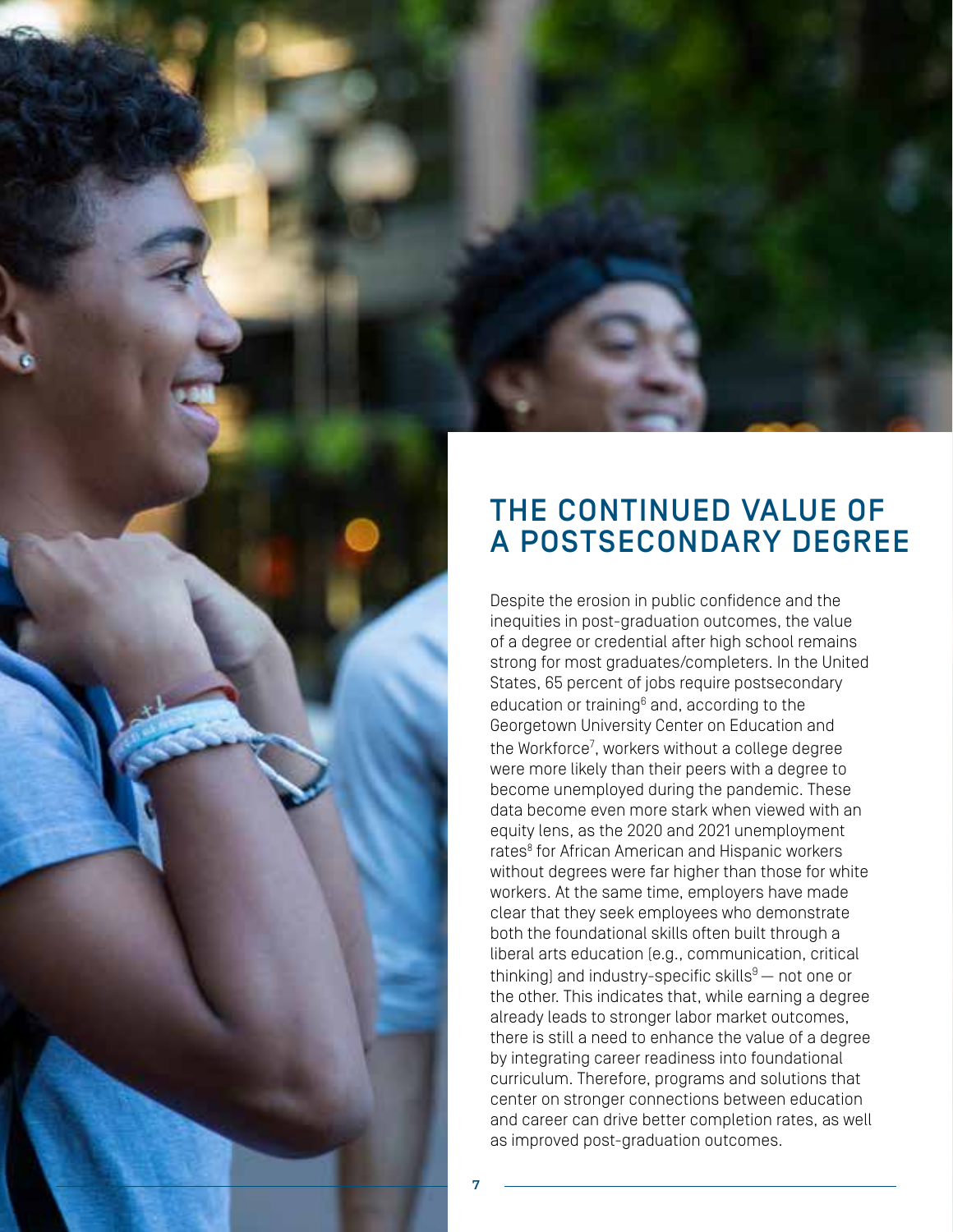

Despite the erosion in public confidence and the inequities in post-graduation outcomes, the value of a degree or credential after high school remains strong for most graduates/completers. In the United States, 65 percent of jobs require postsecondary education or training<sup>6</sup> and, according to the Georgetown University Center on Education and the Workforce<sup>7</sup>, workers without a college degree were more likely than their peers with a degree to become unemployed during the pandemic. These data become even more stark when viewed with an equity lens, as the 2020 and 2021 unemployment rates<sup>8</sup> for African American and Hispanic workers without degrees were far higher than those for white workers. At the same time, employers have made clear that they seek employees who demonstrate both the foundational skills often built through a liberal arts education (e.g., communication, critical thinking) and industry-specific skills $9-$  not one or the other. This indicates that, while earning a degree already leads to stronger labor market outcomes, there is still a need to enhance the value of a degree by integrating career readiness into foundational curriculum. Therefore, programs and solutions that center on stronger connections between education and career can drive better completion rates, as well as improved post-graduation outcomes.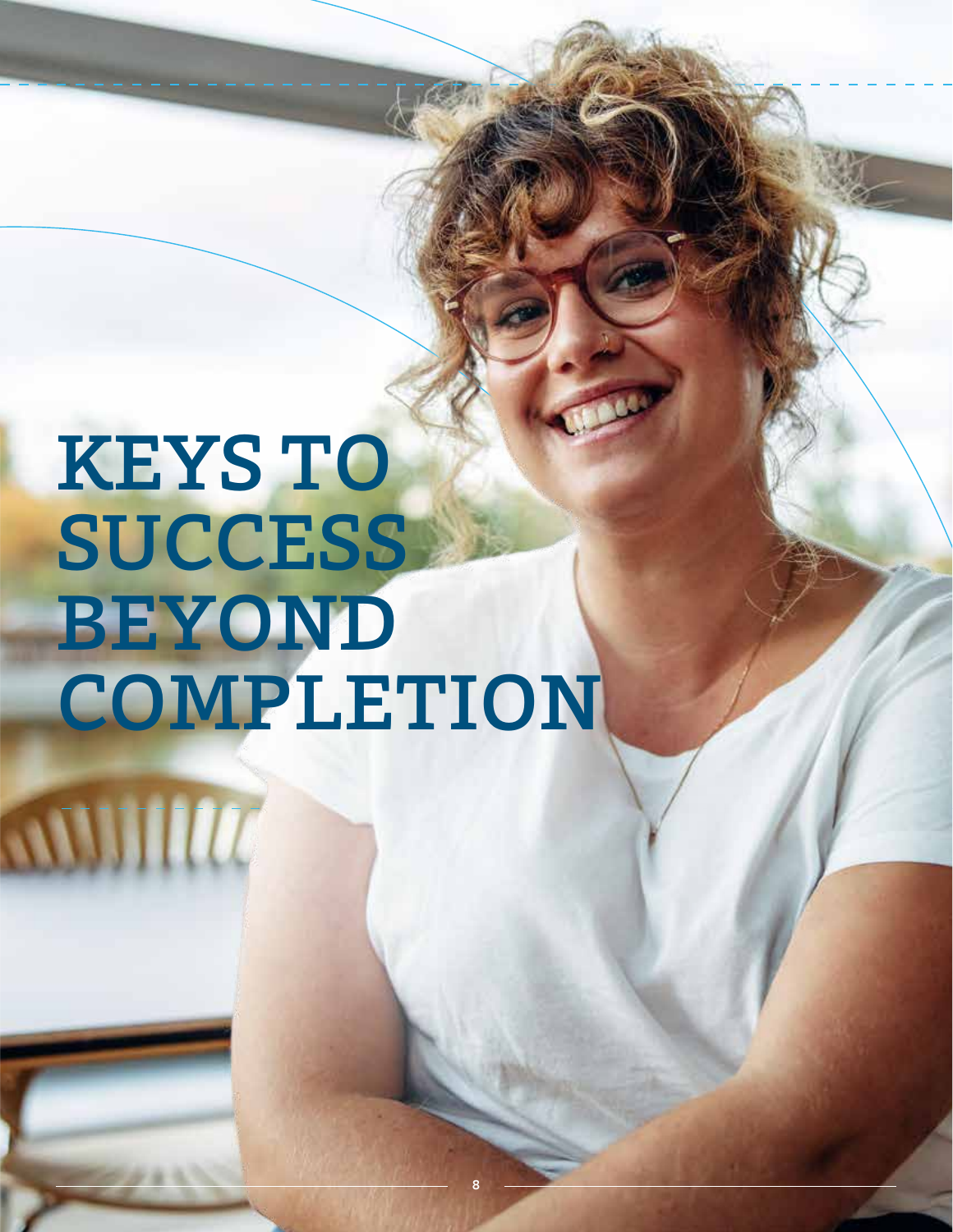# KEYS TO **SUCCESS** BEYOND COMPLETION

WWWW

8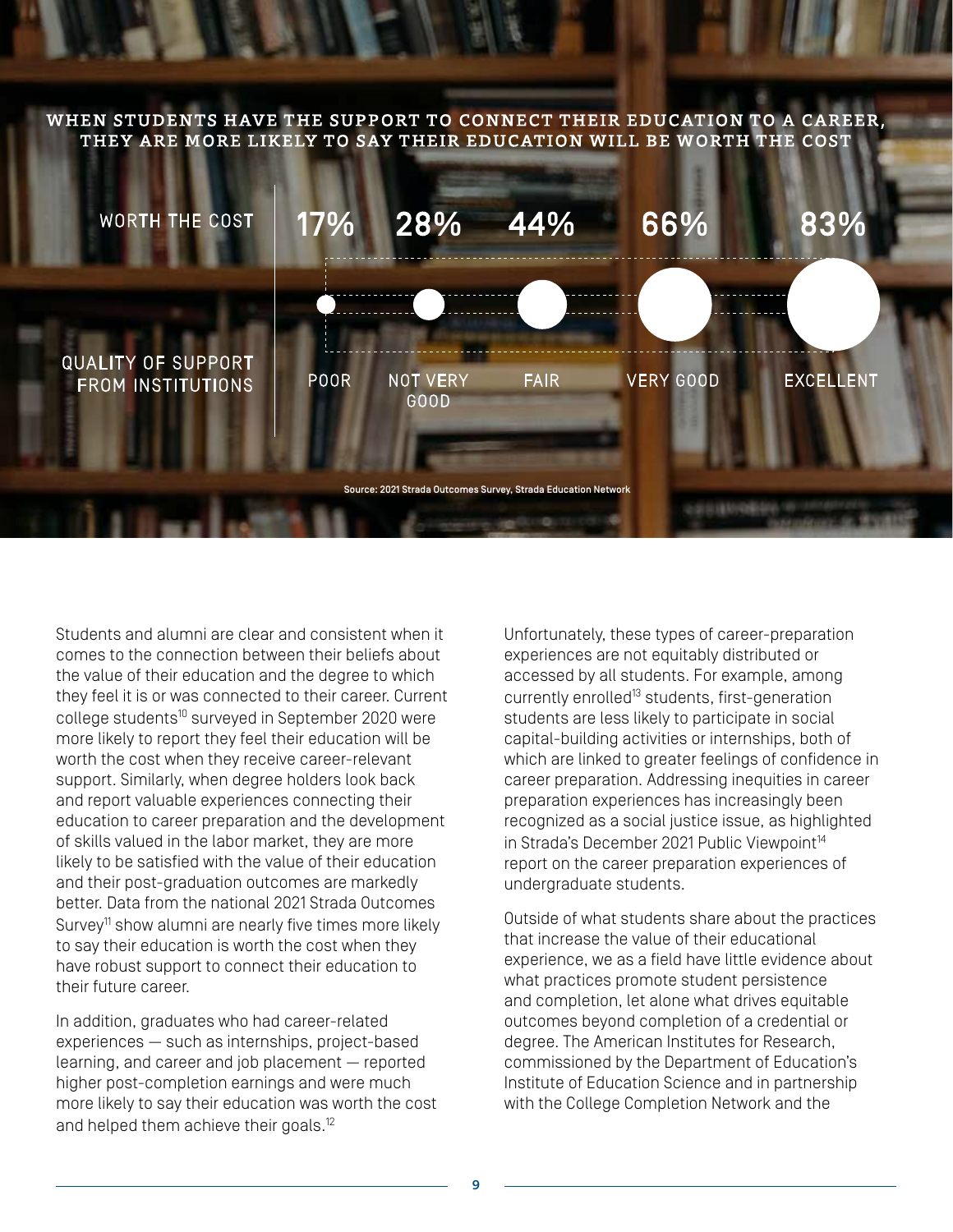WHEN STUDENTS HAVE THE SUPPORT TO CONNECT THEIR EDUCATION TO A CAREER, THEY ARE MORE LIKELY TO SAY THEIR EDUCATION WILL BE WORTH THE COST



Students and alumni are clear and consistent when it comes to the connection between their beliefs about the value of their education and the degree to which they feel it is or was connected to their career. Current college students<sup>10</sup> surveyed in September 2020 were more likely to report they feel their education will be worth the cost when they receive career-relevant support. Similarly, when degree holders look back and report valuable experiences connecting their education to career preparation and the development of skills valued in the labor market, they are more likely to be satisfied with the value of their education and their post-graduation outcomes are markedly better. Data from the national 2021 Strada Outcomes Survey<sup>11</sup> show alumni are nearly five times more likely to say their education is worth the cost when they have robust support to connect their education to their future career.

In addition, graduates who had career-related experiences — such as internships, project-based learning, and career and job placement — reported higher post-completion earnings and were much more likely to say their education was worth the cost and helped them achieve their goals.<sup>12</sup>

Unfortunately, these types of career-preparation experiences are not equitably distributed or accessed by all students. For example, among currently enrolled<sup>13</sup> students, first-generation students are less likely to participate in social capital-building activities or internships, both of which are linked to greater feelings of confidence in career preparation. Addressing inequities in career preparation experiences has increasingly been recognized as a social justice issue, as highlighted in Strada's December 2021 Public Viewpoint<sup>14</sup> report on the career preparation experiences of undergraduate students.

Outside of what students share about the practices that increase the value of their educational experience, we as a field have little evidence about what practices promote student persistence and completion, let alone what drives equitable outcomes beyond completion of a credential or degree. The American Institutes for Research, commissioned by the Department of Education's Institute of Education Science and in partnership with the College Completion Network and the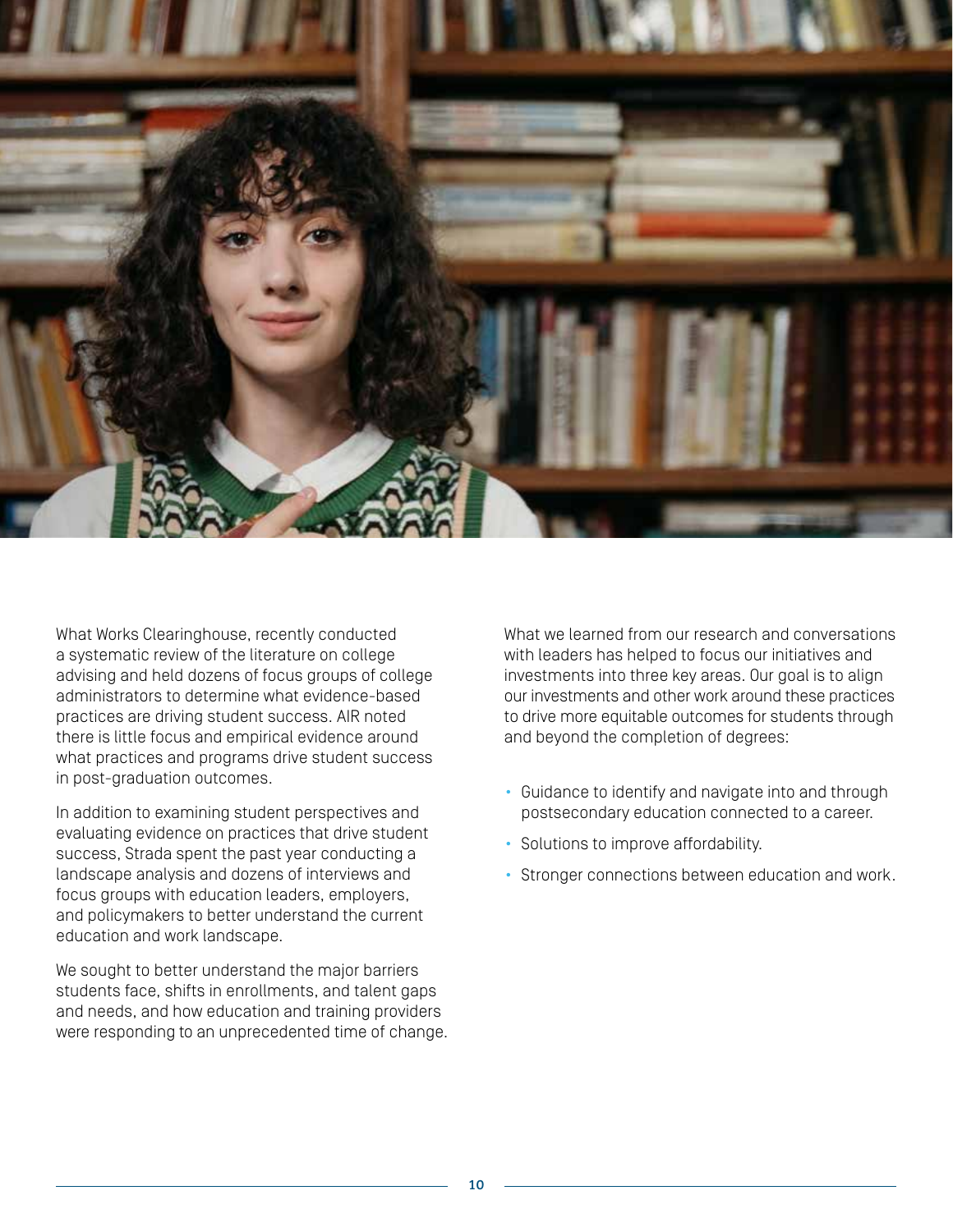

What Works Clearinghouse, recently conducted a systematic review of the literature on college advising and held dozens of focus groups of college administrators to determine what evidence-based practices are driving student success. AIR noted there is little focus and empirical evidence around what practices and programs drive student success in post-graduation outcomes.

In addition to examining student perspectives and evaluating evidence on practices that drive student success, Strada spent the past year conducting a landscape analysis and dozens of interviews and focus groups with education leaders, employers, and policymakers to better understand the current education and work landscape.

We sought to better understand the major barriers students face, shifts in enrollments, and talent gaps and needs, and how education and training providers were responding to an unprecedented time of change. What we learned from our research and conversations with leaders has helped to focus our initiatives and investments into three key areas. Our goal is to align our investments and other work around these practices to drive more equitable outcomes for students through and beyond the completion of degrees:

- Guidance to identify and navigate into and through postsecondary education connected to a career.
- Solutions to improve affordability.
- Stronger connections between education and work.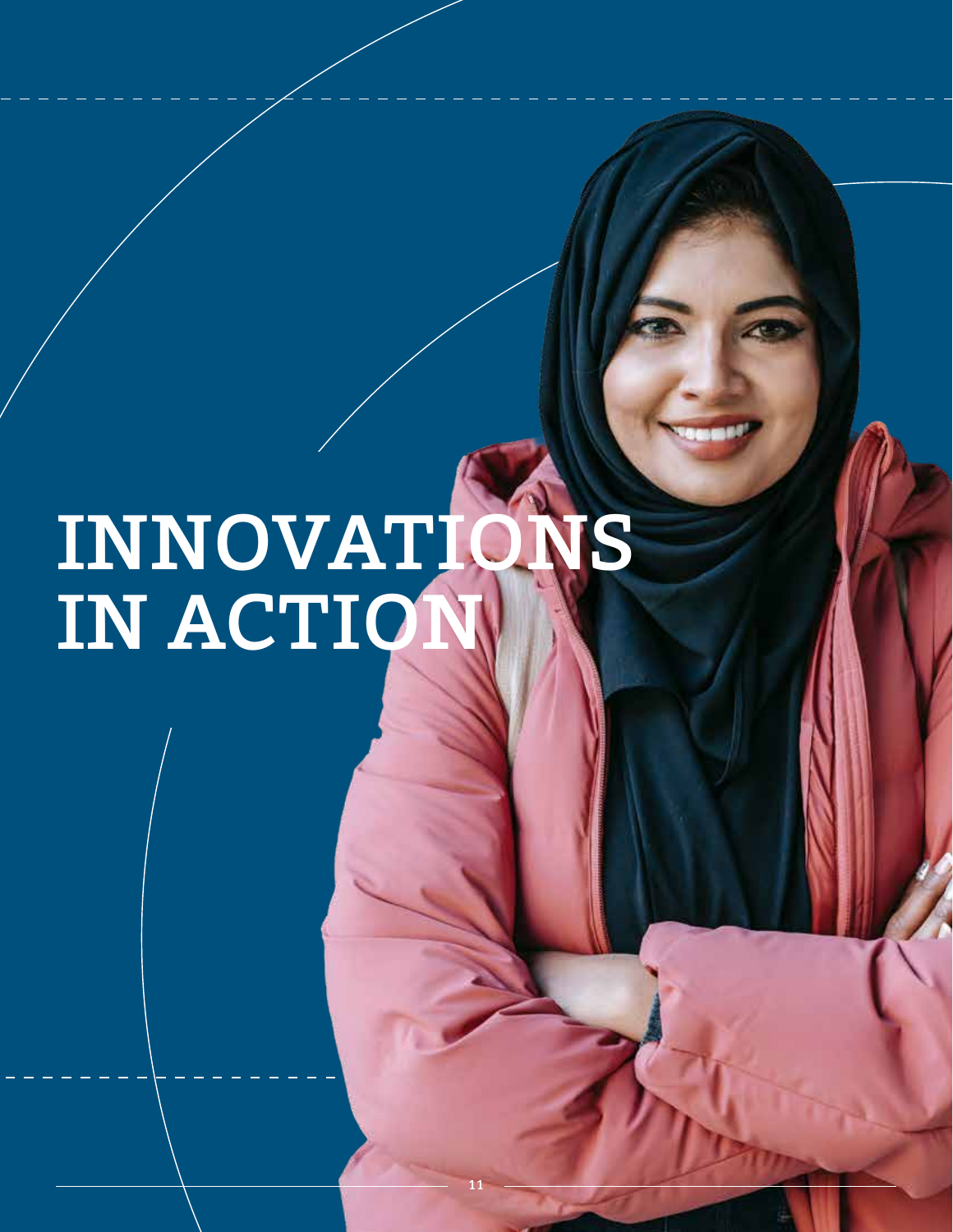# INNOVATIONS IN ACTION

11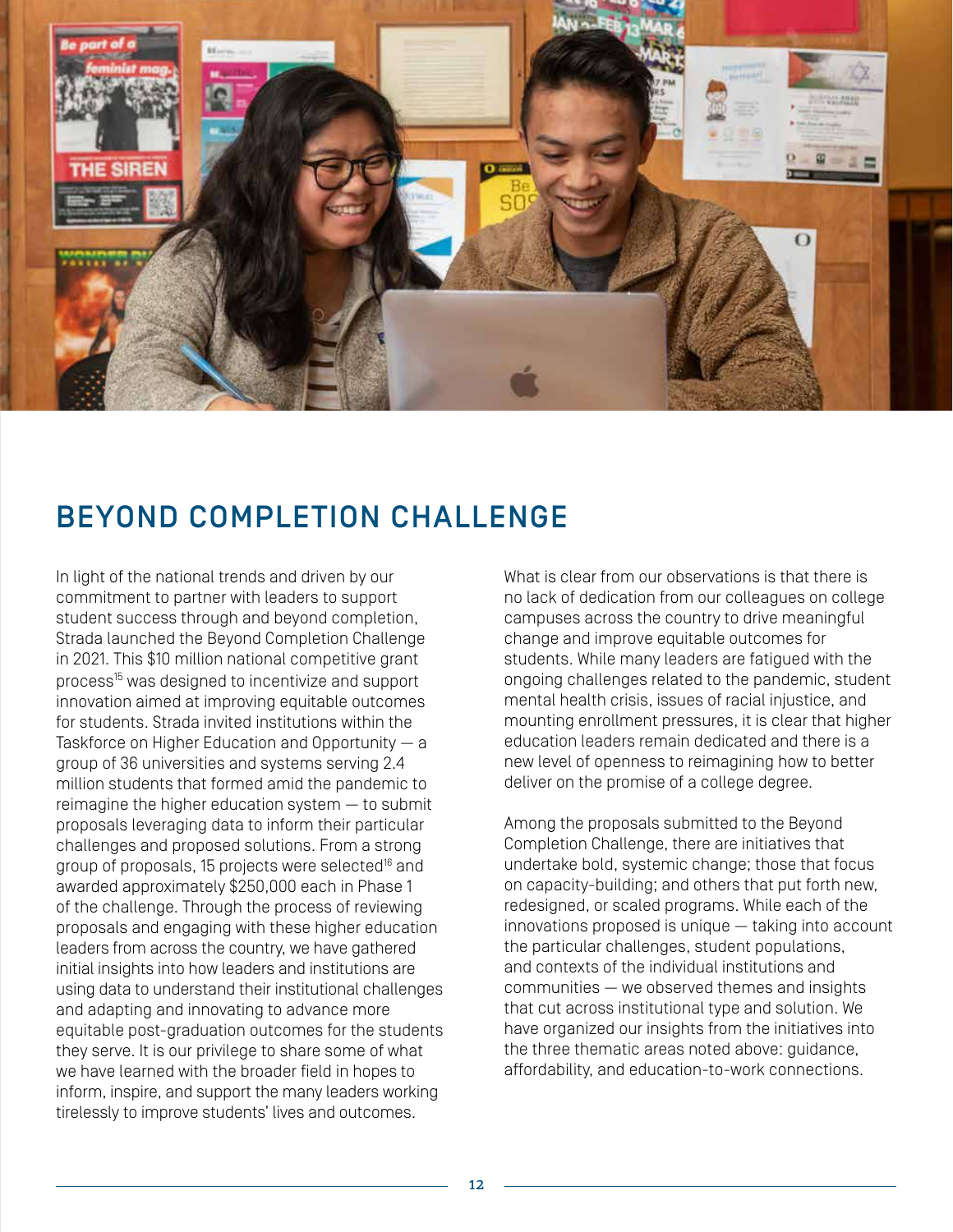

## BEYOND COMPLETION CHALLENGE

In light of the national trends and driven by our commitment to partner with leaders to support student success through and beyond completion, Strada launched the Beyond Completion Challenge in 2021. This \$10 million national competitive grant process<sup>15</sup> was designed to incentivize and support innovation aimed at improving equitable outcomes for students. Strada invited institutions within the Taskforce on Higher Education and Opportunity — a group of 36 universities and systems serving 2.4 million students that formed amid the pandemic to reimagine the higher education system — to submit proposals leveraging data to inform their particular challenges and proposed solutions. From a strong group of proposals, 15 projects were selected<sup>16</sup> and awarded approximately \$250,000 each in Phase 1 of the challenge. Through the process of reviewing proposals and engaging with these higher education leaders from across the country, we have gathered initial insights into how leaders and institutions are using data to understand their institutional challenges and adapting and innovating to advance more equitable post-graduation outcomes for the students they serve. It is our privilege to share some of what we have learned with the broader field in hopes to inform, inspire, and support the many leaders working tirelessly to improve students' lives and outcomes.

What is clear from our observations is that there is no lack of dedication from our colleagues on college campuses across the country to drive meaningful change and improve equitable outcomes for students. While many leaders are fatigued with the ongoing challenges related to the pandemic, student mental health crisis, issues of racial injustice, and mounting enrollment pressures, it is clear that higher education leaders remain dedicated and there is a new level of openness to reimagining how to better deliver on the promise of a college degree.

Among the proposals submitted to the Beyond Completion Challenge, there are initiatives that undertake bold, systemic change; those that focus on capacity-building; and others that put forth new, redesigned, or scaled programs. While each of the innovations proposed is unique — taking into account the particular challenges, student populations, and contexts of the individual institutions and communities — we observed themes and insights that cut across institutional type and solution. We have organized our insights from the initiatives into the three thematic areas noted above: guidance, affordability, and education-to-work connections.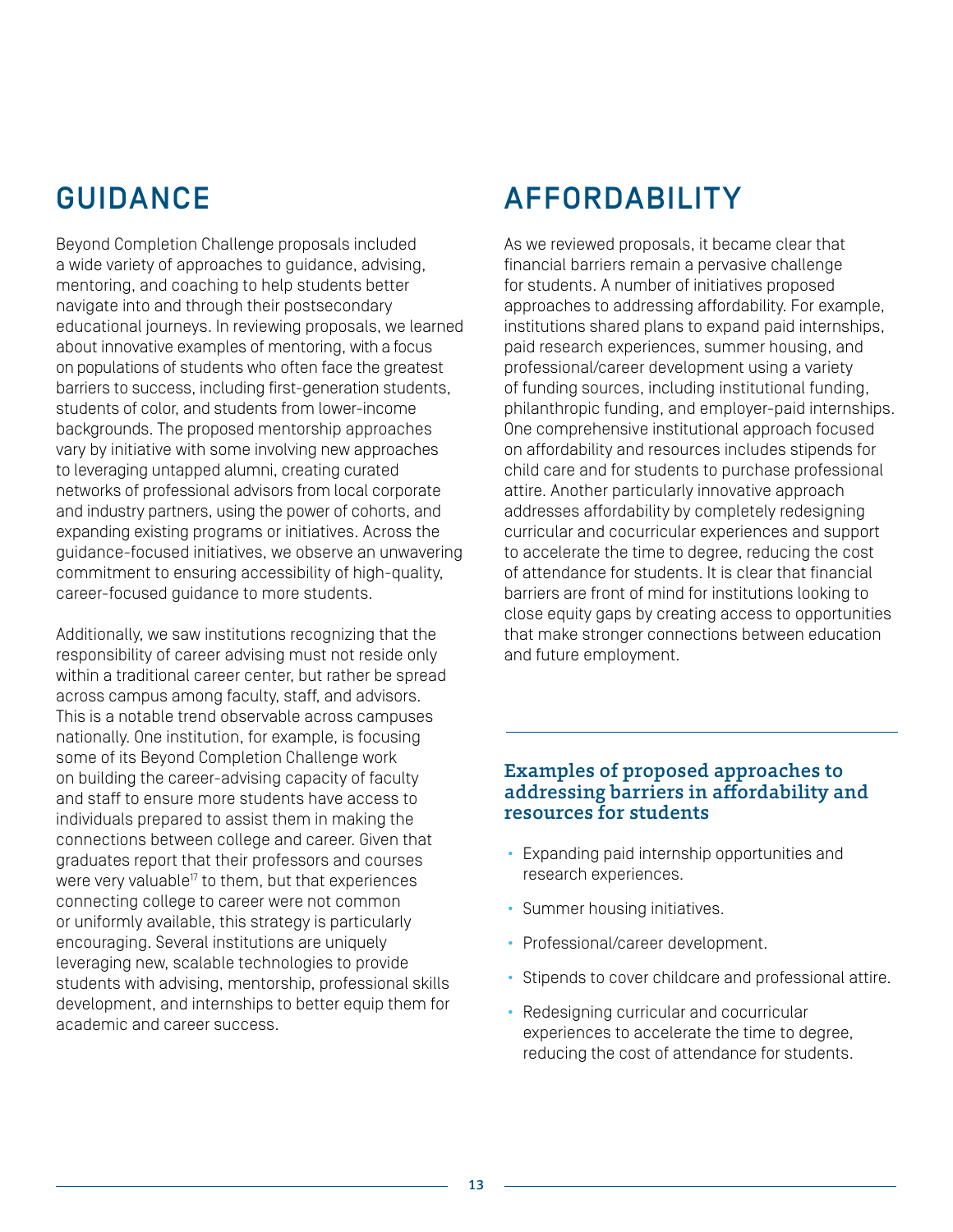## GUIDANCE

Beyond Completion Challenge proposals included a wide variety of approaches to guidance, advising, mentoring, and coaching to help students better navigate into and through their postsecondary educational journeys. In reviewing proposals, we learned about innovative examples of mentoring, with a focus on populations of students who often face the greatest barriers to success, including first-generation students, students of color, and students from lower-income backgrounds. The proposed mentorship approaches vary by initiative with some involving new approaches to leveraging untapped alumni, creating curated networks of professional advisors from local corporate and industry partners, using the power of cohorts, and expanding existing programs or initiatives. Across the guidance-focused initiatives, we observe an unwavering commitment to ensuring accessibility of high-quality, career-focused guidance to more students.

Additionally, we saw institutions recognizing that the responsibility of career advising must not reside only within a traditional career center, but rather be spread across campus among faculty, staff, and advisors. This is a notable trend observable across campuses nationally. One institution, for example, is focusing some of its Beyond Completion Challenge work on building the career-advising capacity of faculty and staff to ensure more students have access to individuals prepared to assist them in making the connections between college and career. Given that graduates report that their professors and courses were very valuable<sup>17</sup> to them, but that experiences connecting college to career were not common or uniformly available, this strategy is particularly encouraging. Several institutions are uniquely leveraging new, scalable technologies to provide students with advising, mentorship, professional skills development, and internships to better equip them for academic and career success.

## AFFORDABILITY

As we reviewed proposals, it became clear that financial barriers remain a pervasive challenge for students. A number of initiatives proposed approaches to addressing affordability. For example, institutions shared plans to expand paid internships, paid research experiences, summer housing, and professional/career development using a variety of funding sources, including institutional funding, philanthropic funding, and employer-paid internships. One comprehensive institutional approach focused on affordability and resources includes stipends for child care and for students to purchase professional attire. Another particularly innovative approach addresses affordability by completely redesigning curricular and cocurricular experiences and support to accelerate the time to degree, reducing the cost of attendance for students. It is clear that financial barriers are front of mind for institutions looking to close equity gaps by creating access to opportunities that make stronger connections between education and future employment.

#### Examples of proposed approaches to addressing barriers in affordability and resources for students

- Expanding paid internship opportunities and research experiences.
- Summer housing initiatives.
- Professional/career development.
- Stipends to cover childcare and professional attire.
- Redesigning curricular and cocurricular experiences to accelerate the time to degree, reducing the cost of attendance for students.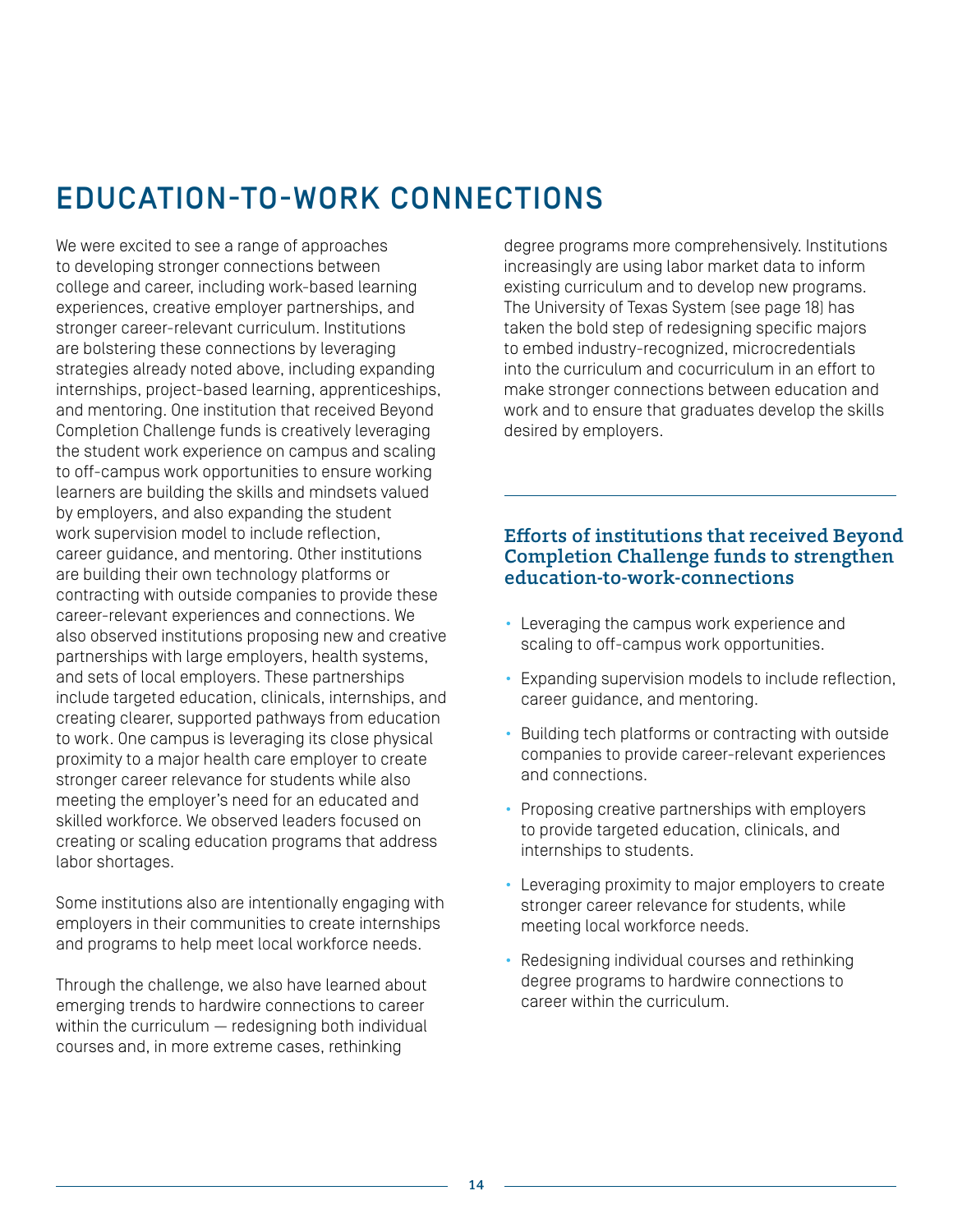## EDUCATION-TO-WORK CONNECTIONS

We were excited to see a range of approaches to developing stronger connections between college and career, including work-based learning experiences, creative employer partnerships, and stronger career-relevant curriculum. Institutions are bolstering these connections by leveraging strategies already noted above, including expanding internships, project-based learning, apprenticeships, and mentoring. One institution that received Beyond Completion Challenge funds is creatively leveraging the student work experience on campus and scaling to off-campus work opportunities to ensure working learners are building the skills and mindsets valued by employers, and also expanding the student work supervision model to include reflection, career guidance, and mentoring. Other institutions are building their own technology platforms or contracting with outside companies to provide these career-relevant experiences and connections. We also observed institutions proposing new and creative partnerships with large employers, health systems, and sets of local employers. These partnerships include targeted education, clinicals, internships, and creating clearer, supported pathways from education to work. One campus is leveraging its close physical proximity to a major health care employer to create stronger career relevance for students while also meeting the employer's need for an educated and skilled workforce. We observed leaders focused on creating or scaling education programs that address labor shortages.

Some institutions also are intentionally engaging with employers in their communities to create internships and programs to help meet local workforce needs.

Through the challenge, we also have learned about emerging trends to hardwire connections to career within the curriculum — redesigning both individual courses and, in more extreme cases, rethinking

degree programs more comprehensively. Institutions increasingly are using labor market data to inform existing curriculum and to develop new programs. The University of Texas System (see page 18) has taken the bold step of redesigning specific majors to embed industry-recognized, microcredentials into the curriculum and cocurriculum in an effort to make stronger connections between education and work and to ensure that graduates develop the skills desired by employers.

#### Efforts of institutions that received Beyond Completion Challenge funds to strengthen education-to-work-connections

- Leveraging the campus work experience and scaling to off-campus work opportunities.
- Expanding supervision models to include reflection, career guidance, and mentoring.
- Building tech platforms or contracting with outside companies to provide career-relevant experiences and connections.
- Proposing creative partnerships with employers to provide targeted education, clinicals, and internships to students.
- Leveraging proximity to major employers to create stronger career relevance for students, while meeting local workforce needs.
- Redesigning individual courses and rethinking degree programs to hardwire connections to career within the curriculum.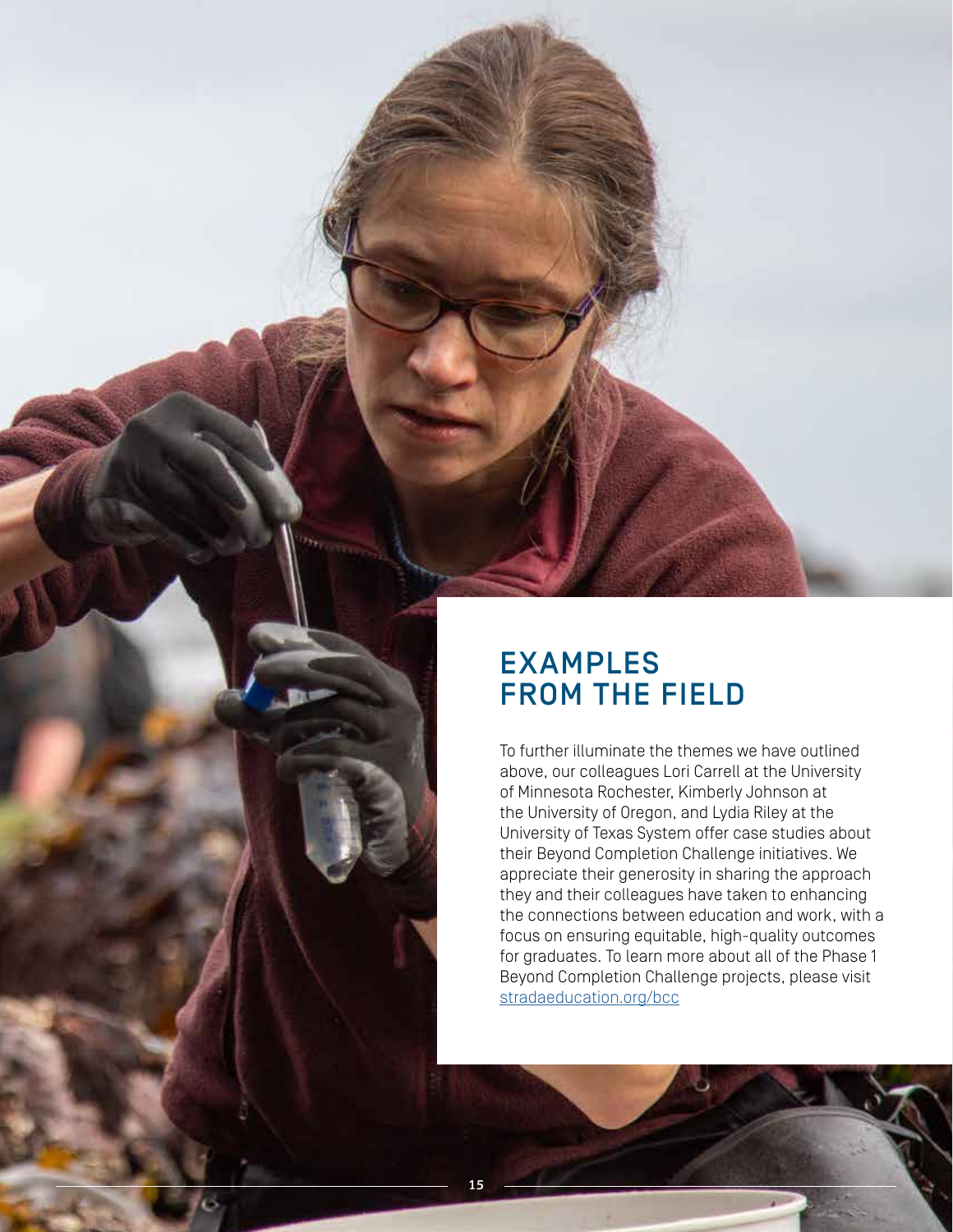

15

To further illuminate the themes we have outlined above, our colleagues Lori Carrell at the University of Minnesota Rochester, Kimberly Johnson at the University of Oregon, and Lydia Riley at the University of Texas System offer case studies about their Beyond Completion Challenge initiatives. We appreciate their generosity in sharing the approach they and their colleagues have taken to enhancing the connections between education and work, with a focus on ensuring equitable, high-quality outcomes for graduates. To learn more about all of the Phase 1 Beyond Completion Challenge projects, please visit stradaeducation.org/bcc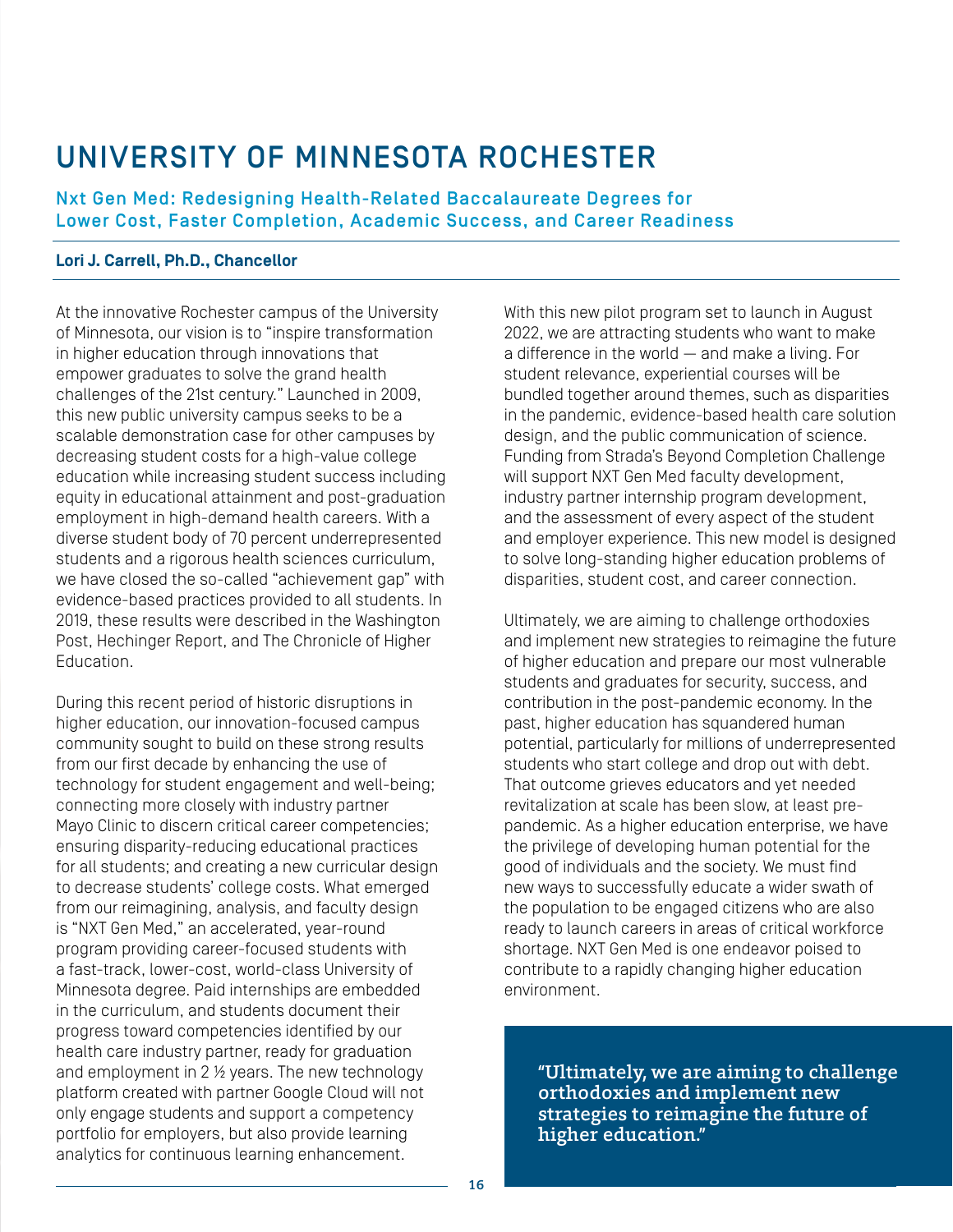## UNIVERSITY OF MINNESOTA ROCHESTER

Nxt Gen Med: Redesigning Health-Related Baccalaureate Degrees for Lower Cost, Faster Completion, Academic Success, and Career Readiness

#### **Lori J. Carrell, Ph.D., Chancellor**

At the innovative Rochester campus of the University of Minnesota, our vision is to "inspire transformation in higher education through innovations that empower graduates to solve the grand health challenges of the 21st century." Launched in 2009, this new public university campus seeks to be a scalable demonstration case for other campuses by decreasing student costs for a high-value college education while increasing student success including equity in educational attainment and post-graduation employment in high-demand health careers. With a diverse student body of 70 percent underrepresented students and a rigorous health sciences curriculum, we have closed the so-called "achievement gap" with evidence-based practices provided to all students. In 2019, these results were described in the Washington Post, Hechinger Report, and The Chronicle of Higher Education.

During this recent period of historic disruptions in higher education, our innovation-focused campus community sought to build on these strong results from our first decade by enhancing the use of technology for student engagement and well-being; connecting more closely with industry partner Mayo Clinic to discern critical career competencies; ensuring disparity-reducing educational practices for all students; and creating a new curricular design to decrease students' college costs. What emerged from our reimagining, analysis, and faculty design is "NXT Gen Med," an accelerated, year-round program providing career-focused students with a fast-track, lower-cost, world-class University of Minnesota degree. Paid internships are embedded in the curriculum, and students document their progress toward competencies identified by our health care industry partner, ready for graduation and employment in 2 ½ years. The new technology platform created with partner Google Cloud will not only engage students and support a competency portfolio for employers, but also provide learning analytics for continuous learning enhancement.

With this new pilot program set to launch in August 2022, we are attracting students who want to make a difference in the world — and make a living. For student relevance, experiential courses will be bundled together around themes, such as disparities in the pandemic, evidence-based health care solution design, and the public communication of science. Funding from Strada's Beyond Completion Challenge will support NXT Gen Med faculty development, industry partner internship program development, and the assessment of every aspect of the student and employer experience. This new model is designed to solve long-standing higher education problems of disparities, student cost, and career connection.

Ultimately, we are aiming to challenge orthodoxies and implement new strategies to reimagine the future of higher education and prepare our most vulnerable students and graduates for security, success, and contribution in the post-pandemic economy. In the past, higher education has squandered human potential, particularly for millions of underrepresented students who start college and drop out with debt. That outcome grieves educators and yet needed revitalization at scale has been slow, at least prepandemic. As a higher education enterprise, we have the privilege of developing human potential for the good of individuals and the society. We must find new ways to successfully educate a wider swath of the population to be engaged citizens who are also ready to launch careers in areas of critical workforce shortage. NXT Gen Med is one endeavor poised to contribute to a rapidly changing higher education environment.

"Ultimately, we are aiming to challenge orthodoxies and implement new strategies to reimagine the future of higher education."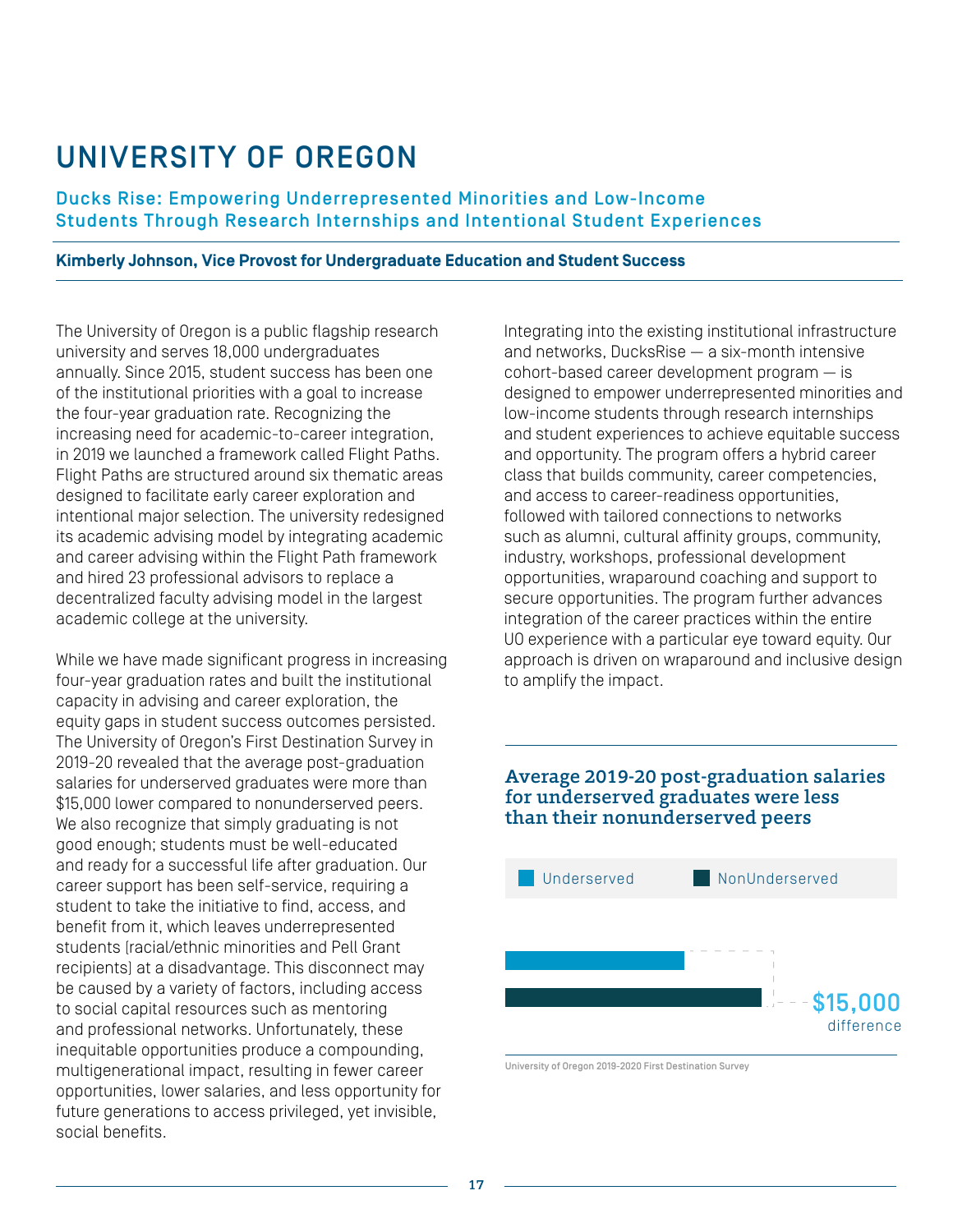## UNIVERSITY OF OREGON

Ducks Rise: Empowering Underrepresented Minorities and Low-Income Students Through Research Internships and Intentional Student Experiences

#### **Kimberly Johnson, Vice Provost for Undergraduate Education and Student Success**

The University of Oregon is a public flagship research university and serves 18,000 undergraduates annually. Since 2015, student success has been one of the institutional priorities with a goal to increase the four-year graduation rate. Recognizing the increasing need for academic-to-career integration, in 2019 we launched a framework called Flight Paths. Flight Paths are structured around six thematic areas designed to facilitate early career exploration and intentional major selection. The university redesigned its academic advising model by integrating academic and career advising within the Flight Path framework and hired 23 professional advisors to replace a decentralized faculty advising model in the largest academic college at the university.

While we have made significant progress in increasing four-year graduation rates and built the institutional capacity in advising and career exploration, the equity gaps in student success outcomes persisted. The University of Oregon's First Destination Survey in 2019-20 revealed that the average post-graduation salaries for underserved graduates were more than \$15,000 lower compared to nonunderserved peers. We also recognize that simply graduating is not good enough; students must be well-educated and ready for a successful life after graduation. Our career support has been self-service, requiring a student to take the initiative to find, access, and benefit from it, which leaves underrepresented students (racial/ethnic minorities and Pell Grant recipients) at a disadvantage. This disconnect may be caused by a variety of factors, including access to social capital resources such as mentoring and professional networks. Unfortunately, these inequitable opportunities produce a compounding, multigenerational impact, resulting in fewer career opportunities, lower salaries, and less opportunity for future generations to access privileged, yet invisible, social benefits.

Integrating into the existing institutional infrastructure and networks, DucksRise — a six-month intensive cohort-based career development program — is designed to empower underrepresented minorities and low-income students through research internships and student experiences to achieve equitable success and opportunity. The program offers a hybrid career class that builds community, career competencies, and access to career-readiness opportunities, followed with tailored connections to networks such as alumni, cultural affinity groups, community, industry, workshops, professional development opportunities, wraparound coaching and support to secure opportunities. The program further advances integration of the career practices within the entire UO experience with a particular eye toward equity. Our approach is driven on wraparound and inclusive design to amplify the impact.

#### Average 2019-20 post-graduation salaries for underserved graduates were less than their nonunderserved peers



University of Oregon 2019-2020 First Destination Survey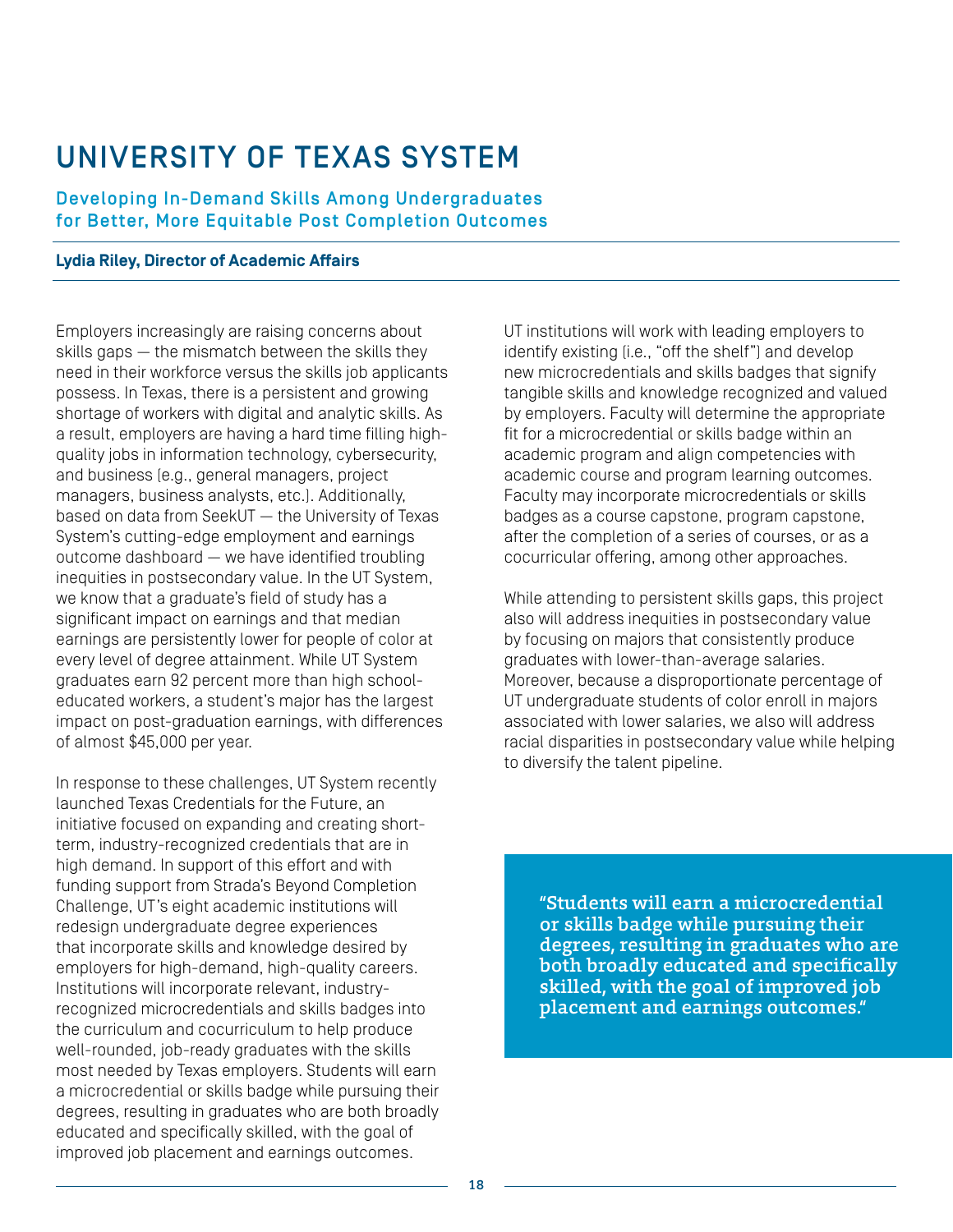## UNIVERSITY OF TEXAS SYSTEM

Developing In-Demand Skills Among Undergraduates for Better, More Equitable Post Completion Outcomes

#### **Lydia Riley, Director of Academic Affairs**

Employers increasingly are raising concerns about skills gaps — the mismatch between the skills they need in their workforce versus the skills job applicants possess. In Texas, there is a persistent and growing shortage of workers with digital and analytic skills. As a result, employers are having a hard time filling highquality jobs in information technology, cybersecurity, and business (e.g., general managers, project managers, business analysts, etc.). Additionally, based on data from SeekUT — the University of Texas System's cutting-edge employment and earnings outcome dashboard — we have identified troubling inequities in postsecondary value. In the UT System, we know that a graduate's field of study has a significant impact on earnings and that median earnings are persistently lower for people of color at every level of degree attainment. While UT System graduates earn 92 percent more than high schooleducated workers, a student's major has the largest impact on post-graduation earnings, with differences of almost \$45,000 per year.

In response to these challenges, UT System recently launched Texas Credentials for the Future, an initiative focused on expanding and creating shortterm, industry-recognized credentials that are in high demand. In support of this effort and with funding support from Strada's Beyond Completion Challenge, UT's eight academic institutions will redesign undergraduate degree experiences that incorporate skills and knowledge desired by employers for high-demand, high-quality careers. Institutions will incorporate relevant, industryrecognized microcredentials and skills badges into the curriculum and cocurriculum to help produce well-rounded, job-ready graduates with the skills most needed by Texas employers. Students will earn a microcredential or skills badge while pursuing their degrees, resulting in graduates who are both broadly educated and specifically skilled, with the goal of improved job placement and earnings outcomes.

UT institutions will work with leading employers to identify existing (i.e., "off the shelf") and develop new microcredentials and skills badges that signify tangible skills and knowledge recognized and valued by employers. Faculty will determine the appropriate fit for a microcredential or skills badge within an academic program and align competencies with academic course and program learning outcomes. Faculty may incorporate microcredentials or skills badges as a course capstone, program capstone, after the completion of a series of courses, or as a cocurricular offering, among other approaches.

While attending to persistent skills gaps, this project also will address inequities in postsecondary value by focusing on majors that consistently produce graduates with lower-than-average salaries. Moreover, because a disproportionate percentage of UT undergraduate students of color enroll in majors associated with lower salaries, we also will address racial disparities in postsecondary value while helping to diversify the talent pipeline.

"Students will earn a microcredential or skills badge while pursuing their degrees, resulting in graduates who are both broadly educated and specifically skilled, with the goal of improved job placement and earnings outcomes."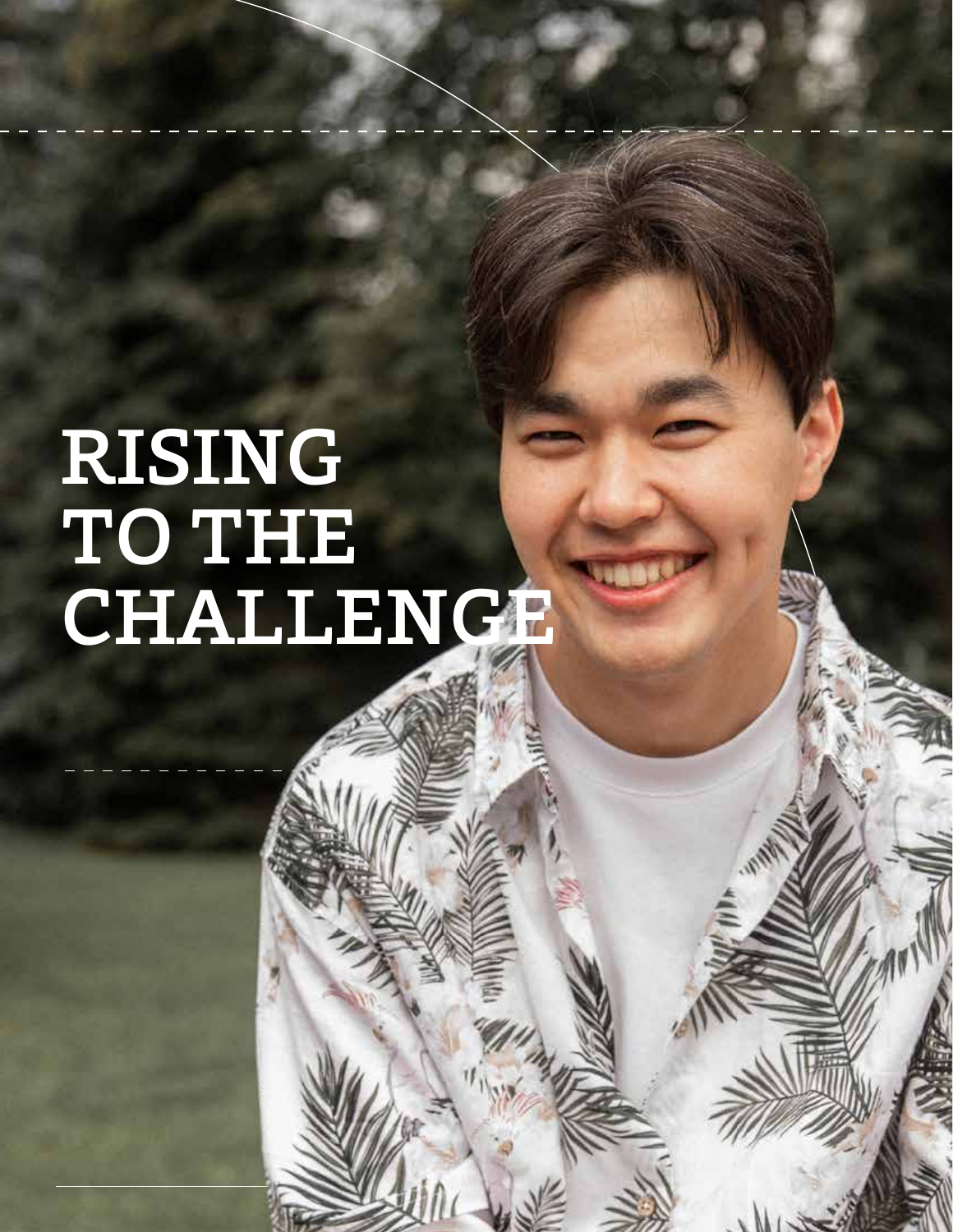# RISING TO THE CHALLENGE

19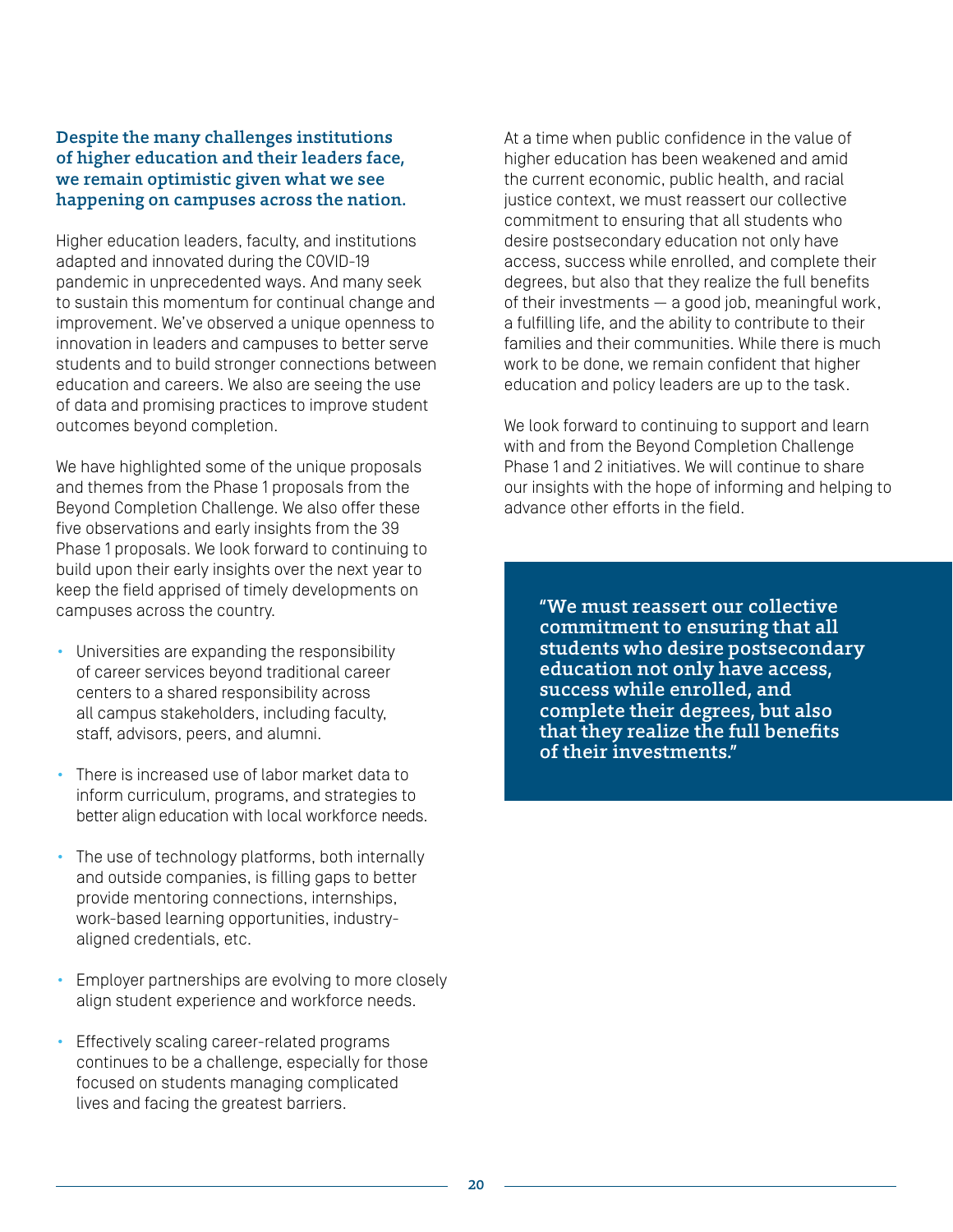#### Despite the many challenges institutions of higher education and their leaders face, we remain optimistic given what we see happening on campuses across the nation.

Higher education leaders, faculty, and institutions adapted and innovated during the COVID-19 pandemic in unprecedented ways. And many seek to sustain this momentum for continual change and improvement. We've observed a unique openness to innovation in leaders and campuses to better serve students and to build stronger connections between education and careers. We also are seeing the use of data and promising practices to improve student outcomes beyond completion.

We have highlighted some of the unique proposals and themes from the Phase 1 proposals from the Beyond Completion Challenge. We also offer these five observations and early insights from the 39 Phase 1 proposals. We look forward to continuing to build upon their early insights over the next year to keep the field apprised of timely developments on campuses across the country.

- Universities are expanding the responsibility of career services beyond traditional career centers to a shared responsibility across all campus stakeholders, including faculty, staff, advisors, peers, and alumni.
- There is increased use of labor market data to inform curriculum, programs, and strategies to better align education with local workforce needs.
- The use of technology platforms, both internally and outside companies, is filling gaps to better provide mentoring connections, internships, work-based learning opportunities, industryaligned credentials, etc.
- Employer partnerships are evolving to more closely align student experience and workforce needs.
- Effectively scaling career-related programs continues to be a challenge, especially for those focused on students managing complicated lives and facing the greatest barriers.

At a time when public confidence in the value of higher education has been weakened and amid the current economic, public health, and racial justice context, we must reassert our collective commitment to ensuring that all students who desire postsecondary education not only have access, success while enrolled, and complete their degrees, but also that they realize the full benefits of their investments — a good job, meaningful work, a fulfilling life, and the ability to contribute to their families and their communities. While there is much work to be done, we remain confident that higher education and policy leaders are up to the task.

We look forward to continuing to support and learn with and from the Beyond Completion Challenge Phase 1 and 2 initiatives. We will continue to share our insights with the hope of informing and helping to advance other efforts in the field.

"We must reassert our collective commitment to ensuring that all students who desire postsecondary education not only have access, success while enrolled, and complete their degrees, but also that they realize the full benefits of their investments."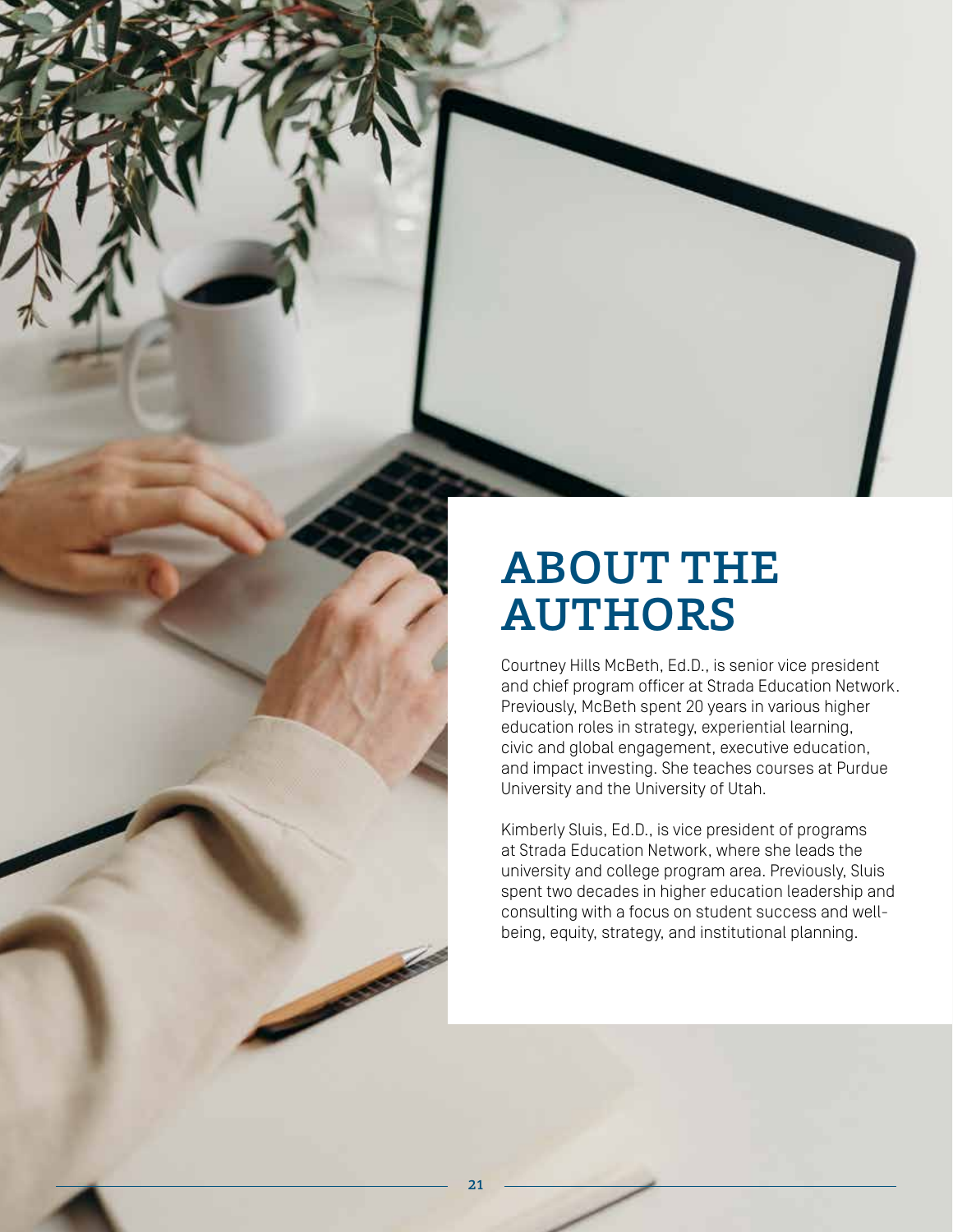

Courtney Hills McBeth, Ed.D., is senior vice president and chief program officer at Strada Education Network. Previously, McBeth spent 20 years in various higher education roles in strategy, experiential learning, civic and global engagement, executive education, and impact investing. She teaches courses at Purdue University and the University of Utah.

Kimberly Sluis, Ed.D., is vice president of programs at Strada Education Network, where she leads the university and college program area. Previously, Sluis spent two decades in higher education leadership and consulting with a focus on student success and wellbeing, equity, strategy, and institutional planning.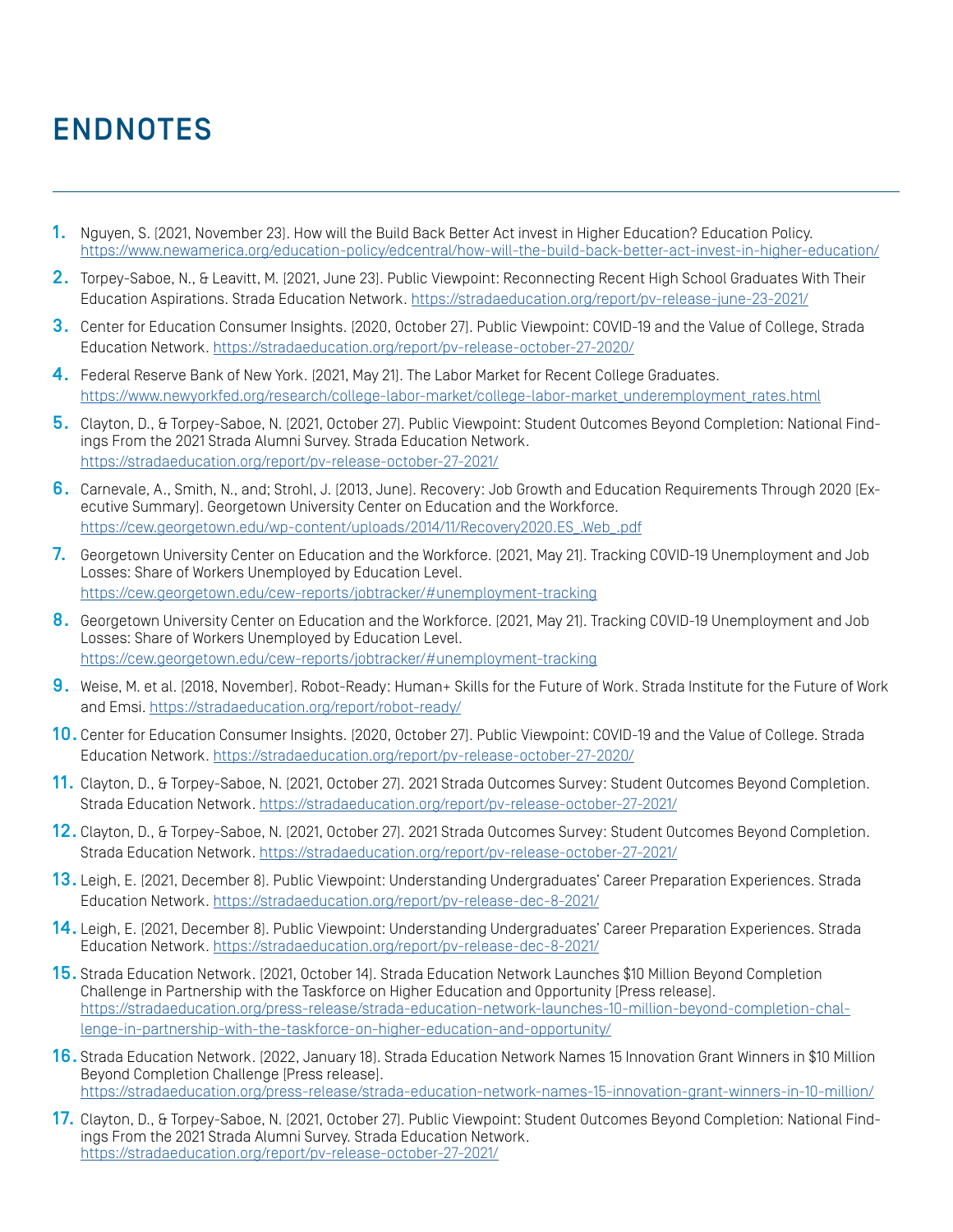## ENDNOTES

- 1. Nguyen, S. (2021, November 23). How will the Build Back Better Act invest in Higher Education? Education Policy. https://www.newamerica.org/education-policy/edcentral/how-will-the-build-back-better-act-invest-in-higher-education/
- 2. Torpey-Saboe, N., & Leavitt, M. (2021, June 23). Public Viewpoint: Reconnecting Recent High School Graduates With Their Education Aspirations. Strada Education Network. https://stradaeducation.org/report/pv-release-june-23-2021/
- 3. Center for Education Consumer Insights. (2020, October 27). Public Viewpoint: COVID-19 and the Value of College, Strada Education Network. https://stradaeducation.org/report/pv-release-october-27-2020/
- 4. Federal Reserve Bank of New York. (2021, May 21). The Labor Market for Recent College Graduates. https://www.newyorkfed.org/research/college-labor-market/college-labor-market\_underemployment\_rates.html
- 5. Clayton, D., & Torpey-Saboe, N. (2021, October 27). Public Viewpoint: Student Outcomes Beyond Completion: National Findings From the 2021 Strada Alumni Survey. Strada Education Network. https://stradaeducation.org/report/pv-release-october-27-2021/
- 6. Carnevale, A., Smith, N., and; Strohl, J. (2013, June). Recovery: Job Growth and Education Requirements Through 2020 (Executive Summary). Georgetown University Center on Education and the Workforce. https://cew.georgetown.edu/wp-content/uploads/2014/11/Recovery2020.ES\_.Web\_.pdf
- 7. Georgetown University Center on Education and the Workforce. [2021, May 21]. Tracking COVID-19 Unemployment and Job Losses: Share of Workers Unemployed by Education Level. https://cew.georgetown.edu/cew-reports/jobtracker/#unemployment-tracking
- 8. Georgetown University Center on Education and the Workforce. [2021, May 21]. Tracking COVID-19 Unemployment and Job Losses: Share of Workers Unemployed by Education Level. https://cew.georgetown.edu/cew-reports/jobtracker/#unemployment-tracking
- 9. Weise, M. et al. (2018, November). Robot-Ready: Human+ Skills for the Future of Work. Strada Institute for the Future of Work and Emsi. https://stradaeducation.org/report/robot-ready/
- 10. Center for Education Consumer Insights. (2020, October 27). Public Viewpoint: COVID-19 and the Value of College. Strada Education Network. https://stradaeducation.org/report/pv-release-october-27-2020/
- 11. Clayton, D., & Torpey-Saboe, N. (2021, October 27). 2021 Strada Outcomes Survey: Student Outcomes Beyond Completion. Strada Education Network. https://stradaeducation.org/report/pv-release-october-27-2021/
- 12. Clayton, D., & Torpey-Saboe, N. (2021, October 27). 2021 Strada Outcomes Survey: Student Outcomes Beyond Completion. Strada Education Network. https://stradaeducation.org/report/pv-release-october-27-2021/
- 13. Leigh, E. (2021, December 8). Public Viewpoint: Understanding Undergraduates' Career Preparation Experiences. Strada Education Network. https://stradaeducation.org/report/pv-release-dec-8-2021/
- 14. Leigh, E. (2021, December 8). Public Viewpoint: Understanding Undergraduates' Career Preparation Experiences. Strada Education Network. https://stradaeducation.org/report/pv-release-dec-8-2021/
- 15. Strada Education Network. (2021, October 14). Strada Education Network Launches \$10 Million Beyond Completion Challenge in Partnership with the Taskforce on Higher Education and Opportunity [Press release]. https://stradaeducation.org/press-release/strada-education-network-launches-10-million-beyond-completion-challenge-in-partnership-with-the-taskforce-on-higher-education-and-opportunity/
- 16. Strada Education Network. (2022, January 18). Strada Education Network Names 15 Innovation Grant Winners in \$10 Million Beyond Completion Challenge [Press release]. https://stradaeducation.org/press-release/strada-education-network-names-15-innovation-grant-winners-in-10-million/
- 17. Clayton, D., & Torpey-Saboe, N. (2021, October 27). Public Viewpoint: Student Outcomes Beyond Completion: National Findings From the 2021 Strada Alumni Survey. Strada Education Network. https://stradaeducation.org/report/pv-release-october-27-2021/